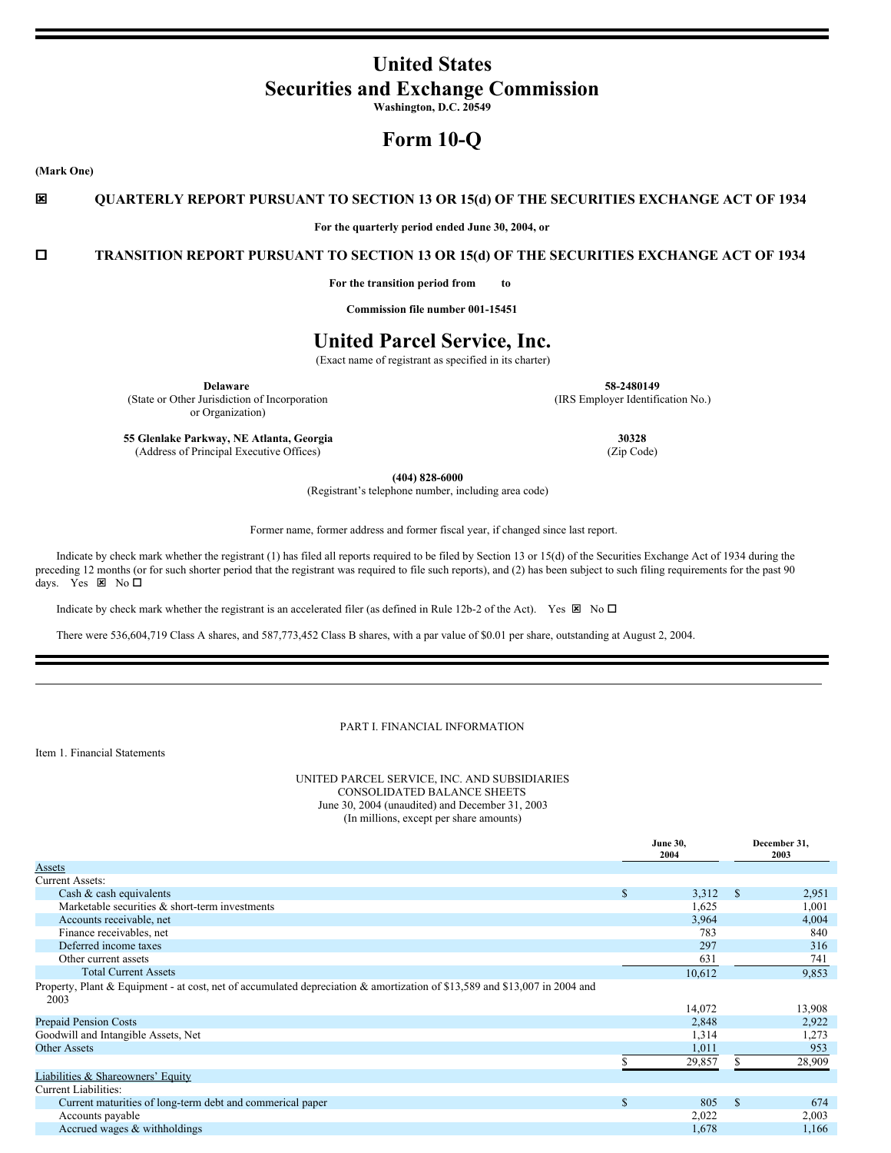# **United States Securities and Exchange Commission**

**Washington, D.C. 20549**

# **Form 10-Q**

**(Mark One)**

ý **QUARTERLY REPORT PURSUANT TO SECTION 13 OR 15(d) OF THE SECURITIES EXCHANGE ACT OF 1934**

**For the quarterly period ended June 30, 2004, or**

o **TRANSITION REPORT PURSUANT TO SECTION 13 OR 15(d) OF THE SECURITIES EXCHANGE ACT OF 1934**

**For the transition period from to**

**Commission file number 001-15451**

# **United Parcel Service, Inc.**

(Exact name of registrant as specified in its charter)

(State or Other Jurisdiction of Incorporation or Organization)

**Delaware 58-2480149** (IRS Employer Identification No.)

**55 Glenlake Parkway, NE Atlanta, Georgia 30328** (Address of Principal Executive Offices) (Zip Code)

**(404) 828-6000**

(Registrant's telephone number, including area code)

Former name, former address and former fiscal year, if changed since last report.

Indicate by check mark whether the registrant (1) has filed all reports required to be filed by Section 13 or 15(d) of the Securities Exchange Act of 1934 during the preceding 12 months (or for such shorter period that the registrant was required to file such reports), and (2) has been subject to such filing requirements for the past 90 days. Yes  $\boxtimes$  No  $\Box$ 

Indicate by check mark whether the registrant is an accelerated filer (as defined in Rule 12b-2 of the Act). Yes  $\boxtimes$  No  $\square$ 

There were 536,604,719 Class A shares, and 587,773,452 Class B shares, with a par value of \$0.01 per share, outstanding at August 2, 2004.

# PART I. FINANCIAL INFORMATION

Item 1. Financial Statements

### UNITED PARCEL SERVICE, INC. AND SUBSIDIARIES CONSOLIDATED BALANCE SHEETS June 30, 2004 (unaudited) and December 31, 2003 (In millions, except per share amounts)

|                                                                                                                                    |               | <b>June 30,</b><br>2004 |               | December 31,<br>2003 |
|------------------------------------------------------------------------------------------------------------------------------------|---------------|-------------------------|---------------|----------------------|
| Assets                                                                                                                             |               |                         |               |                      |
| <b>Current Assets:</b>                                                                                                             |               |                         |               |                      |
| Cash & cash equivalents                                                                                                            | $\mathcal{S}$ | 3,312                   | -S            | 2,951                |
| Marketable securities & short-term investments                                                                                     |               | 1,625                   |               | 1,001                |
| Accounts receivable, net                                                                                                           |               | 3,964                   |               | 4,004                |
| Finance receivables, net                                                                                                           |               | 783                     |               | 840                  |
| Deferred income taxes                                                                                                              |               | 297                     |               | 316                  |
| Other current assets                                                                                                               |               | 631                     |               | 741                  |
| <b>Total Current Assets</b>                                                                                                        |               | 10,612                  |               | 9,853                |
| Property, Plant & Equipment - at cost, net of accumulated depreciation & amortization of \$13,589 and \$13,007 in 2004 and<br>2003 |               |                         |               |                      |
|                                                                                                                                    |               | 14,072                  |               | 13,908               |
| <b>Prepaid Pension Costs</b>                                                                                                       |               | 2,848                   |               | 2,922                |
| Goodwill and Intangible Assets, Net                                                                                                |               | 1,314                   |               | 1,273                |
| <b>Other Assets</b>                                                                                                                |               | 1,011                   |               | 953                  |
|                                                                                                                                    |               | 29,857                  |               | 28,909               |
| Liabilities & Shareowners' Equity                                                                                                  |               |                         |               |                      |
| Current Liabilities:                                                                                                               |               |                         |               |                      |
| Current maturities of long-term debt and commerical paper                                                                          | \$            | 805                     | <sup>\$</sup> | 674                  |
| Accounts payable                                                                                                                   |               | 2,022                   |               | 2,003                |
| Accrued wages & withholdings                                                                                                       |               | 1,678                   |               | 1,166                |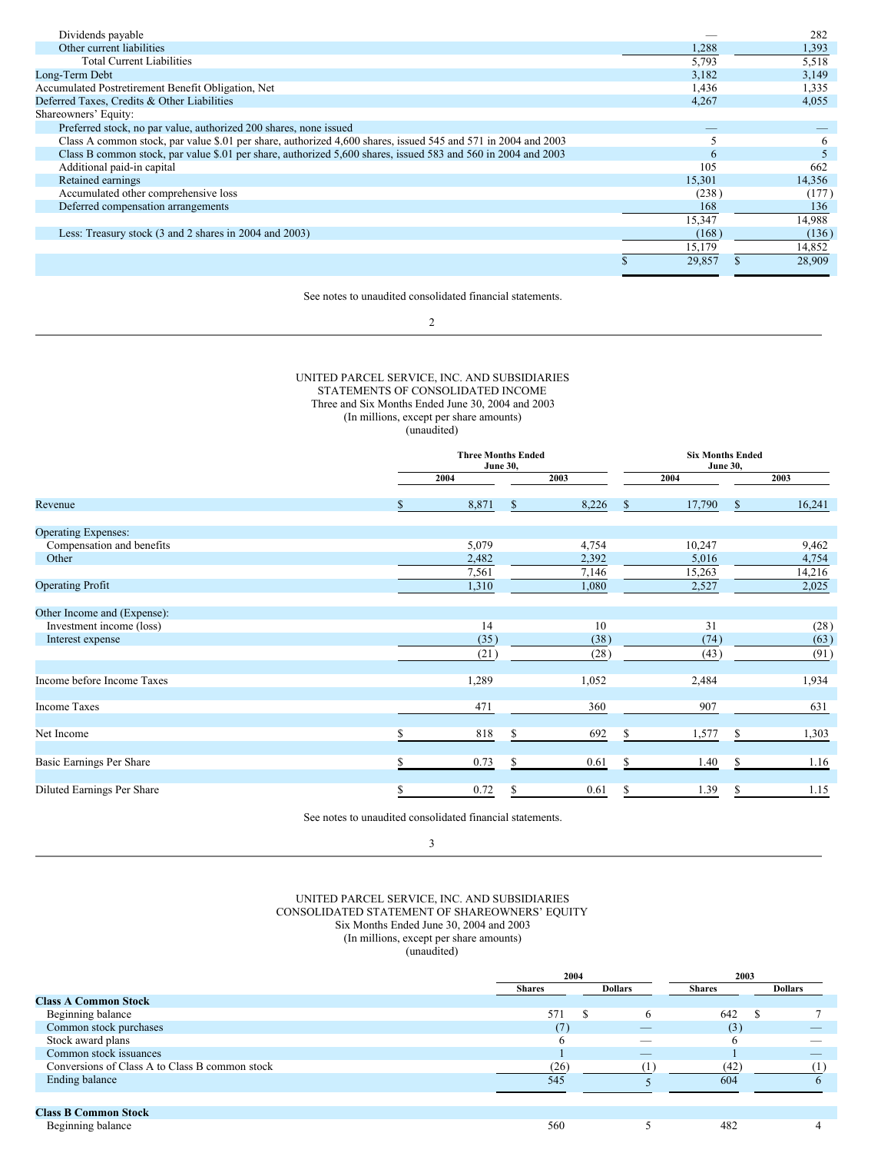| Dividends payable                                                                                             |                | 282    |
|---------------------------------------------------------------------------------------------------------------|----------------|--------|
| Other current liabilities                                                                                     | 1,288          | 1,393  |
| <b>Total Current Liabilities</b>                                                                              | 5,793          | 5,518  |
| Long-Term Debt                                                                                                | 3,182          | 3,149  |
| Accumulated Postretirement Benefit Obligation, Net                                                            | 1,436          | 1,335  |
| Deferred Taxes, Credits & Other Liabilities                                                                   | 4,267          | 4,055  |
| Shareowners' Equity:                                                                                          |                |        |
| Preferred stock, no par value, authorized 200 shares, none issued                                             |                |        |
| Class A common stock, par value \$.01 per share, authorized 4,600 shares, issued 545 and 571 in 2004 and 2003 |                | 6      |
| Class B common stock, par value \$.01 per share, authorized 5,600 shares, issued 583 and 560 in 2004 and 2003 | $\mathfrak{h}$ |        |
| Additional paid-in capital                                                                                    | 105            | 662    |
| Retained earnings                                                                                             | 15,301         | 14,356 |
| Accumulated other comprehensive loss                                                                          | (238)          | (177)  |
| Deferred compensation arrangements                                                                            | 168            | 136    |
|                                                                                                               | 15,347         | 14,988 |
| Less: Treasury stock (3 and 2 shares in 2004 and 2003)                                                        | (168)          | (136)  |
|                                                                                                               | 15,179         | 14,852 |
|                                                                                                               | 29,857         | 28,909 |

See notes to unaudited consolidated financial statements.

2

# UNITED PARCEL SERVICE, INC. AND SUBSIDIARIES STATEMENTS OF CONSOLIDATED INCOME Three and Six Months Ended June 30, 2004 and 2003 (In millions, except per share amounts) (unaudited)

|                             |              | <b>Three Months Ended</b><br><b>June 30,</b> |              |       |              | <b>Six Months Ended</b><br><b>June 30,</b> |              |        |  |
|-----------------------------|--------------|----------------------------------------------|--------------|-------|--------------|--------------------------------------------|--------------|--------|--|
|                             |              | 2004                                         |              | 2003  |              | 2004                                       |              | 2003   |  |
| Revenue                     | $\mathbb{S}$ | 8,871                                        | $\mathbb{S}$ | 8,226 | $\mathbb{S}$ | 17,790                                     | $\mathbb{S}$ | 16,241 |  |
| <b>Operating Expenses:</b>  |              |                                              |              |       |              |                                            |              |        |  |
| Compensation and benefits   |              | 5,079                                        |              | 4,754 |              | 10,247                                     |              | 9,462  |  |
| Other                       |              | 2,482                                        |              | 2,392 |              | 5,016                                      |              | 4,754  |  |
|                             |              | 7,561                                        |              | 7,146 |              | 15,263                                     |              | 14,216 |  |
| <b>Operating Profit</b>     |              | 1,310                                        |              | 1,080 |              | 2,527                                      |              | 2,025  |  |
| Other Income and (Expense): |              |                                              |              |       |              |                                            |              |        |  |
| Investment income (loss)    |              | 14                                           |              | 10    |              | 31                                         |              | (28)   |  |
| Interest expense            |              | (35)                                         |              | (38)  |              | (74)                                       |              | (63)   |  |
|                             |              | (21)                                         |              | (28)  |              | (43)                                       |              | (91)   |  |
| Income before Income Taxes  |              | 1,289                                        |              | 1,052 |              | 2,484                                      |              | 1,934  |  |
| <b>Income Taxes</b>         |              | 471                                          |              | 360   |              | 907                                        |              | 631    |  |
| Net Income                  | S            | 818                                          | S            | 692   | S            | 1,577                                      | \$           | 1,303  |  |
| Basic Earnings Per Share    | \$           | 0.73                                         | \$           | 0.61  | $\mathbb{S}$ | 1.40                                       | $\mathbb{S}$ | 1.16   |  |
| Diluted Earnings Per Share  | S            | 0.72                                         | S            | 0.61  | S            | 1.39                                       | \$           | 1.15   |  |

See notes to unaudited consolidated financial statements.

3

# UNITED PARCEL SERVICE, INC. AND SUBSIDIARIES CONSOLIDATED STATEMENT OF SHAREOWNERS' EQUITY Six Months Ended June 30, 2004 and 2003 (In millions, except per share amounts) (unaudited)

**2004 2003 Shares Dollars Shares Dollars Dollars Class A Common Stock** Beginning balance 571 \$ 6 642 \$ 7<br>
Common stock purchases (7)  $-$  (3)  $-$ Common stock purchases Stock award plans  $\overline{6}$   $\overline{6}$   $\overline{1}$   $\overline{6}$   $\overline{1}$   $\overline{6}$   $\overline{1}$   $\overline{6}$   $\overline{1}$   $\overline{1}$   $\overline{1}$   $\overline{1}$   $\overline{1}$   $\overline{1}$   $\overline{1}$   $\overline{1}$   $\overline{1}$   $\overline{1}$   $\overline{1}$   $\overline{1}$   $\overline{1}$   $\overline{1}$   $\overline{$ Common stock issuances<br>
Conversions of Class A to Class B common stock (26) (1) (42) (1) (42) (1) Conversions of Class A to Class B common stock (26) (1) (42) (1) Ending balance  $545$  5 604 6

**Class B Common Stock**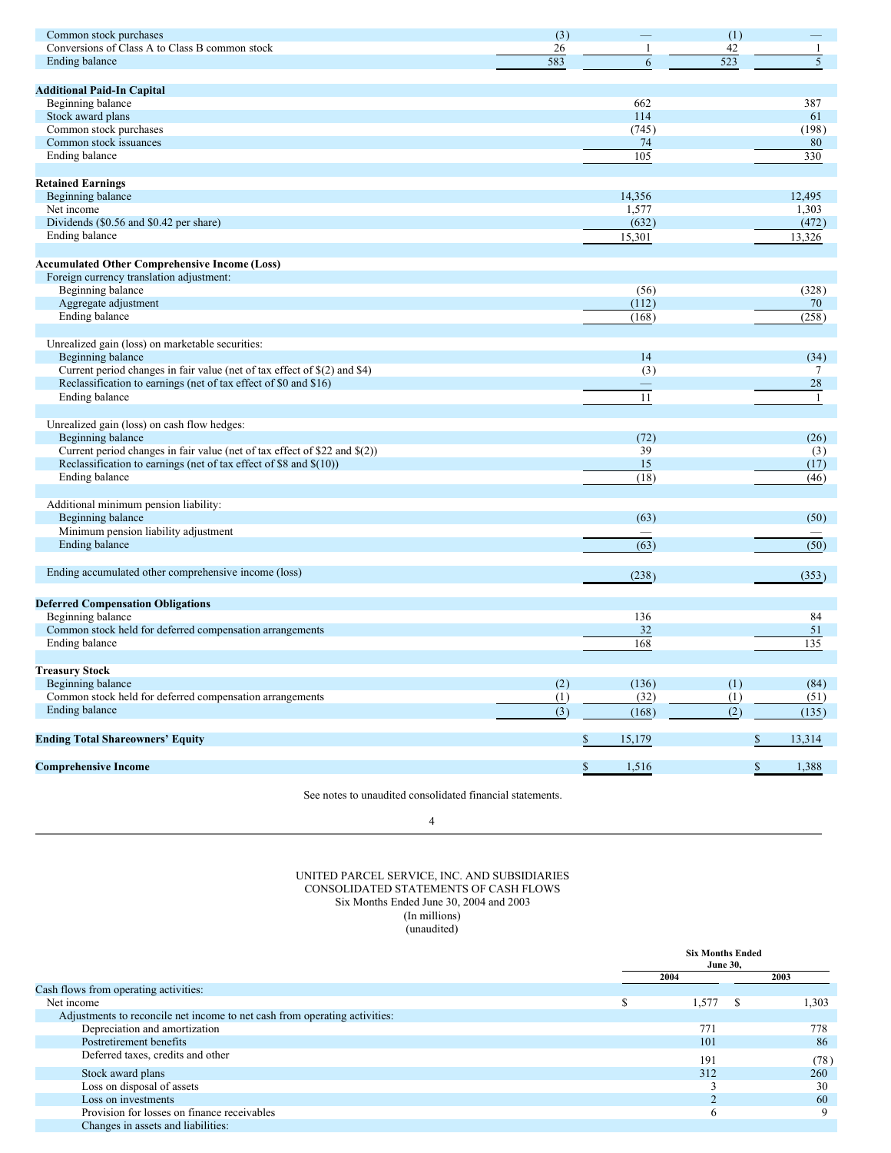| Common stock purchases                                                          | (3) |               | (1) |                       |
|---------------------------------------------------------------------------------|-----|---------------|-----|-----------------------|
| Conversions of Class A to Class B common stock                                  | 26  | -1            | 42  | 1                     |
| Ending balance                                                                  | 583 | 6             | 523 | $\overline{5}$        |
|                                                                                 |     |               |     |                       |
| <b>Additional Paid-In Capital</b>                                               |     |               |     |                       |
| Beginning balance                                                               |     | 662           |     | 387                   |
| Stock award plans                                                               |     | 114           |     | 61                    |
| Common stock purchases                                                          |     | (745)         |     | (198)                 |
| Common stock issuances                                                          |     | 74            |     | 80                    |
| Ending balance                                                                  |     | 105           |     | 330                   |
|                                                                                 |     |               |     |                       |
| <b>Retained Earnings</b>                                                        |     |               |     |                       |
| Beginning balance                                                               |     | 14,356        |     | 12,495                |
| Net income                                                                      |     | 1,577         |     | 1,303                 |
| Dividends (\$0.56 and \$0.42 per share)                                         |     | (632)         |     | (472)                 |
| Ending balance                                                                  |     | 15,301        |     | 13,326                |
|                                                                                 |     |               |     |                       |
| <b>Accumulated Other Comprehensive Income (Loss)</b>                            |     |               |     |                       |
| Foreign currency translation adjustment:                                        |     |               |     |                       |
| Beginning balance<br>Aggregate adjustment                                       |     | (56)<br>(112) |     | (328)<br>70           |
| Ending balance                                                                  |     | (168)         |     |                       |
|                                                                                 |     |               |     | (258)                 |
| Unrealized gain (loss) on marketable securities:                                |     |               |     |                       |
| Beginning balance                                                               |     | 14            |     | (34)                  |
| Current period changes in fair value (net of tax effect of $\S(2)$ and $\S4)$ ) |     | (3)           |     | 7                     |
| Reclassification to earnings (net of tax effect of \$0 and \$16)                |     |               |     | 28                    |
| Ending balance                                                                  |     | 11            |     | $\mathbf{1}$          |
|                                                                                 |     |               |     |                       |
| Unrealized gain (loss) on cash flow hedges:                                     |     |               |     |                       |
| Beginning balance                                                               |     | (72)          |     | (26)                  |
| Current period changes in fair value (net of tax effect of \$22 and $\$(2)\)$ ) |     | 39            |     | (3)                   |
| Reclassification to earnings (net of tax effect of $$8$ and $\$(10)$ )          |     | 15            |     | (17)                  |
| Ending balance                                                                  |     | (18)          |     | (46)                  |
|                                                                                 |     |               |     |                       |
| Additional minimum pension liability:                                           |     |               |     |                       |
| Beginning balance                                                               |     | (63)          |     | (50)                  |
| Minimum pension liability adjustment                                            |     |               |     |                       |
| <b>Ending balance</b>                                                           |     | (63)          |     | (50)                  |
|                                                                                 |     |               |     |                       |
| Ending accumulated other comprehensive income (loss)                            |     |               |     |                       |
|                                                                                 |     | (238)         |     | (353)                 |
| <b>Deferred Compensation Obligations</b>                                        |     |               |     |                       |
| Beginning balance                                                               |     | 136           |     | 84                    |
| Common stock held for deferred compensation arrangements                        |     | 32            |     | 51                    |
| Ending balance                                                                  |     | 168           |     | 135                   |
|                                                                                 |     |               |     |                       |
| <b>Treasury Stock</b>                                                           |     |               |     |                       |
| Beginning balance                                                               | (2) | (136)         | (1) | (84)                  |
| Common stock held for deferred compensation arrangements                        | (1) | (32)          | (1) | (51)                  |
| Ending balance                                                                  | (3) | (168)         | (2) | (135)                 |
|                                                                                 |     |               |     |                       |
| <b>Ending Total Shareowners' Equity</b>                                         |     | 15,179        |     | 13,314<br>\$          |
|                                                                                 |     |               |     |                       |
| <b>Comprehensive Income</b>                                                     |     | 1,516<br>\$   |     | $\mathbb{S}$<br>1,388 |
|                                                                                 |     |               |     |                       |
|                                                                                 |     |               |     |                       |

See notes to unaudited consolidated financial statements.

4

UNITED PARCEL SERVICE, INC. AND SUBSIDIARIES CONSOLIDATED STATEMENTS OF CASH FLOWS Six Months Ended June 30, 2004 and 2003 (In millions) (unaudited)

|                                                                            | <b>Six Months Ended</b><br><b>June 30,</b> |       |    |      |  |
|----------------------------------------------------------------------------|--------------------------------------------|-------|----|------|--|
|                                                                            |                                            | 2004  |    | 2003 |  |
| Cash flows from operating activities:                                      |                                            |       |    |      |  |
| Net income                                                                 |                                            | 1,577 | -8 | .303 |  |
| Adjustments to reconcile net income to net cash from operating activities: |                                            |       |    |      |  |
| Depreciation and amortization                                              |                                            | 771   |    | 778  |  |
| Postretirement benefits                                                    |                                            | 101   |    | 86   |  |
| Deferred taxes, credits and other                                          |                                            | 191   |    | (78) |  |
| Stock award plans                                                          |                                            | 312   |    | 260  |  |
| Loss on disposal of assets                                                 |                                            |       |    | 30   |  |
| Loss on investments                                                        |                                            |       |    | 60   |  |
| Provision for losses on finance receivables                                |                                            | 6     |    | 9    |  |
| Changes in assets and liabilities:                                         |                                            |       |    |      |  |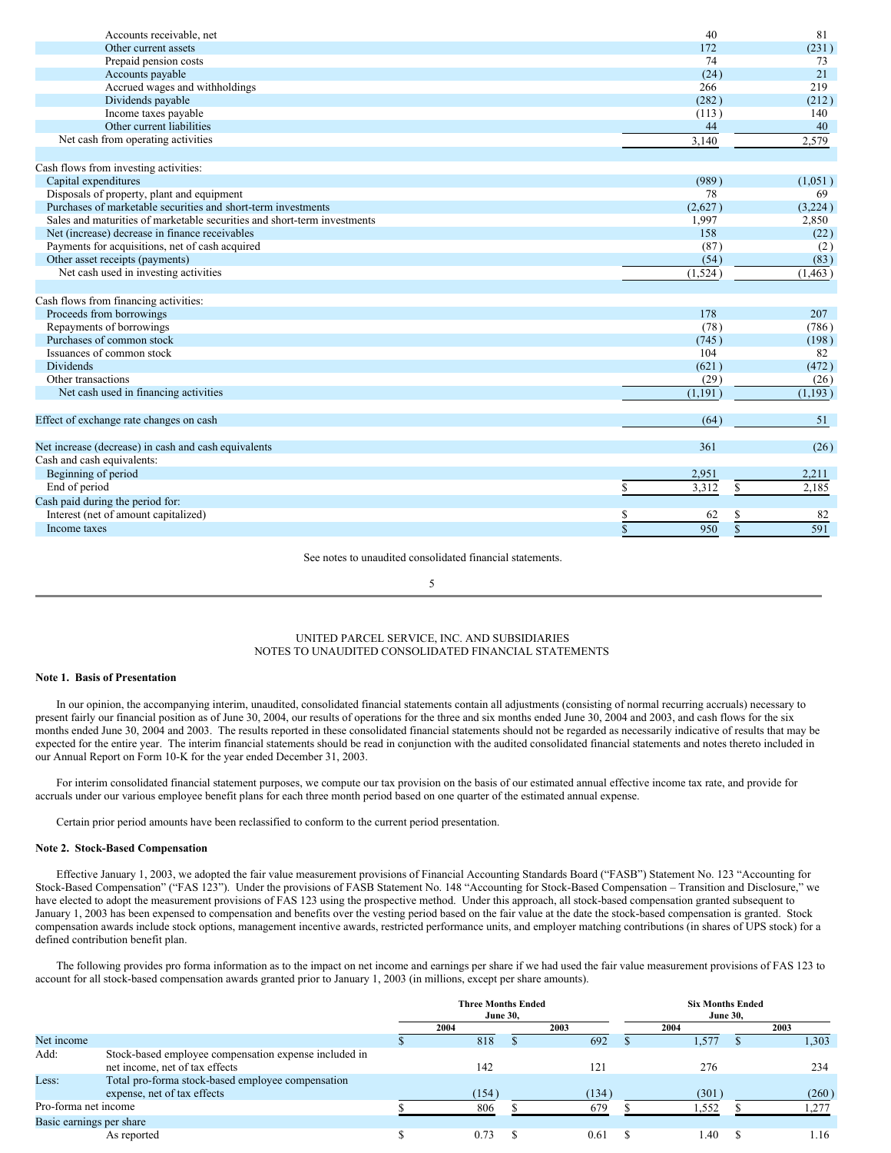| Accounts receivable, net                                                 | 40         | 81                        |
|--------------------------------------------------------------------------|------------|---------------------------|
| Other current assets                                                     | 172        | (231)                     |
| Prepaid pension costs                                                    | 74         | 73                        |
| Accounts payable                                                         | (24)       | 21                        |
| Accrued wages and withholdings                                           | 266        | 219                       |
| Dividends payable                                                        | (282)      | (212)                     |
| Income taxes payable                                                     | (113)      | 140                       |
| Other current liabilities                                                | 44         | 40                        |
| Net cash from operating activities                                       | 3,140      | 2,579                     |
|                                                                          |            |                           |
| Cash flows from investing activities:                                    |            |                           |
| Capital expenditures                                                     | (989)      | (1,051)                   |
| Disposals of property, plant and equipment                               | 78         | 69                        |
| Purchases of marketable securities and short-term investments            | (2,627)    | (3,224)                   |
| Sales and maturities of marketable securities and short-term investments | 1,997      | 2,850                     |
| Net (increase) decrease in finance receivables                           | 158        | (22)                      |
| Payments for acquisitions, net of cash acquired                          | (87)       | (2)                       |
| Other asset receipts (payments)                                          | (54)       | (83)                      |
| Net cash used in investing activities                                    | (1,524)    | (1, 463)                  |
|                                                                          |            |                           |
| Cash flows from financing activities:                                    |            |                           |
| Proceeds from borrowings                                                 | 178        | 207                       |
| Repayments of borrowings                                                 | (78)       | (786)                     |
| Purchases of common stock                                                | (745)      | (198)                     |
| Issuances of common stock                                                | 104        | 82                        |
| <b>Dividends</b>                                                         | (621)      | (472)                     |
| Other transactions                                                       | (29)       | (26)                      |
| Net cash used in financing activities                                    | (1, 191)   | (1, 193)                  |
|                                                                          |            |                           |
| Effect of exchange rate changes on cash                                  | (64)       | 51                        |
|                                                                          |            |                           |
| Net increase (decrease) in cash and cash equivalents                     | 361        | (26)                      |
| Cash and cash equivalents:                                               |            |                           |
| Beginning of period                                                      | 2,951      | 2,211                     |
| End of period                                                            | S<br>3,312 | \$<br>2,185               |
| Cash paid during the period for:                                         |            |                           |
| Interest (net of amount capitalized)                                     | 62         | 82                        |
| Income taxes                                                             | 950        | 591<br>$\mathbf{\hat{S}}$ |
|                                                                          |            |                           |

See notes to unaudited consolidated financial statements.

### 5

# UNITED PARCEL SERVICE, INC. AND SUBSIDIARIES NOTES TO UNAUDITED CONSOLIDATED FINANCIAL STATEMENTS

### **Note 1. Basis of Presentation**

In our opinion, the accompanying interim, unaudited, consolidated financial statements contain all adjustments (consisting of normal recurring accruals) necessary to present fairly our financial position as of June 30, 2004, our results of operations for the three and six months ended June 30, 2004 and 2003, and cash flows for the six months ended June 30, 2004 and 2003. The results reported in these consolidated financial statements should not be regarded as necessarily indicative of results that may be expected for the entire year. The interim financial statements should be read in conjunction with the audited consolidated financial statements and notes thereto included in our Annual Report on Form 10-K for the year ended December 31, 2003.

For interim consolidated financial statement purposes, we compute our tax provision on the basis of our estimated annual effective income tax rate, and provide for accruals under our various employee benefit plans for each three month period based on one quarter of the estimated annual expense.

Certain prior period amounts have been reclassified to conform to the current period presentation.

### **Note 2. Stock-Based Compensation**

Effective January 1, 2003, we adopted the fair value measurement provisions of Financial Accounting Standards Board ("FASB") Statement No. 123 "Accounting for Stock-Based Compensation" ("FAS 123"). Under the provisions of FASB Statement No. 148 "Accounting for Stock-Based Compensation – Transition and Disclosure," we have elected to adopt the measurement provisions of FAS 123 using the prospective method. Under this approach, all stock-based compensation granted subsequent to January 1, 2003 has been expensed to compensation and benefits over the vesting period based on the fair value at the date the stock-based compensation is granted. Stock compensation awards include stock options, management incentive awards, restricted performance units, and employer matching contributions (in shares of UPS stock) for a defined contribution benefit plan.

The following provides pro forma information as to the impact on net income and earnings per share if we had used the fair value measurement provisions of FAS 123 to account for all stock-based compensation awards granted prior to January 1, 2003 (in millions, except per share amounts).

|            |                                                       | <b>Three Months Ended</b><br><b>June 30,</b> |       |  | <b>Six Months Ended</b><br><b>June 30,</b> |  |       |  |       |
|------------|-------------------------------------------------------|----------------------------------------------|-------|--|--------------------------------------------|--|-------|--|-------|
|            |                                                       |                                              | 2004  |  | 2003                                       |  | 2004  |  | 2003  |
| Net income |                                                       |                                              | 818   |  | 692                                        |  | 1,577 |  | 1,303 |
| Add:       | Stock-based employee compensation expense included in |                                              |       |  |                                            |  |       |  |       |
|            | net income, net of tax effects                        |                                              | 142   |  | 121                                        |  | 276   |  | 234   |
| Less:      | Total pro-forma stock-based employee compensation     |                                              |       |  |                                            |  |       |  |       |
|            | expense, net of tax effects                           |                                              | (154) |  | (134)                                      |  | (301) |  | (260) |
|            | Pro-forma net income                                  |                                              | 806   |  | 679                                        |  | 1,552 |  | 1,277 |
|            | Basic earnings per share                              |                                              |       |  |                                            |  |       |  |       |
|            | As reported                                           |                                              | 0.73  |  | 0.61                                       |  | 1.40  |  | 1.16  |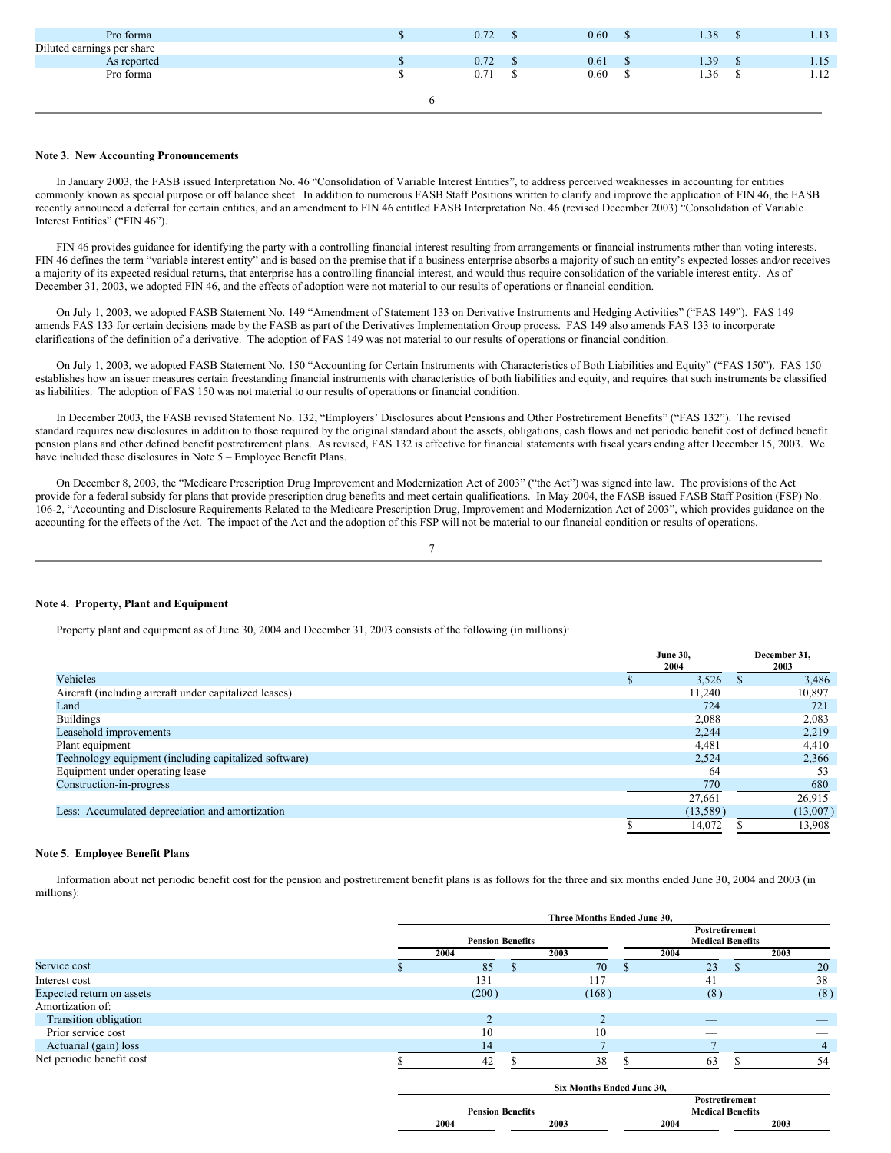| Pro forma                  | 0.72 | 0.60 | 1.38 | 1.13 |
|----------------------------|------|------|------|------|
| Diluted earnings per share |      |      |      |      |
| As reported                | 0.72 | 0.61 | 1.39 | 1.15 |
| Pro forma                  | 0.71 | 0.60 | 1.36 | 1.12 |
|                            |      |      |      |      |
|                            |      |      |      |      |
|                            |      |      |      |      |

### **Note 3. New Accounting Pronouncements**

In January 2003, the FASB issued Interpretation No. 46 "Consolidation of Variable Interest Entities", to address perceived weaknesses in accounting for entities commonly known as special purpose or off balance sheet. In addition to numerous FASB Staff Positions written to clarify and improve the application of FIN 46, the FASB recently announced a deferral for certain entities, and an amendment to FIN 46 entitled FASB Interpretation No. 46 (revised December 2003) "Consolidation of Variable Interest Entities" ("FIN 46").

FIN 46 provides guidance for identifying the party with a controlling financial interest resulting from arrangements or financial instruments rather than voting interests. FIN 46 defines the term "variable interest entity" and is based on the premise that if a business enterprise absorbs a majority of such an entity's expected losses and/or receives a majority of its expected residual returns, that enterprise has a controlling financial interest, and would thus require consolidation of the variable interest entity. As of December 31, 2003, we adopted FIN 46, and the effects of adoption were not material to our results of operations or financial condition.

On July 1, 2003, we adopted FASB Statement No. 149 "Amendment of Statement 133 on Derivative Instruments and Hedging Activities" ("FAS 149"). FAS 149 amends FAS 133 for certain decisions made by the FASB as part of the Derivatives Implementation Group process. FAS 149 also amends FAS 133 to incorporate clarifications of the definition of a derivative. The adoption of FAS 149 was not material to our results of operations or financial condition.

On July 1, 2003, we adopted FASB Statement No. 150 "Accounting for Certain Instruments with Characteristics of Both Liabilities and Equity" ("FAS 150"). FAS 150 establishes how an issuer measures certain freestanding financial instruments with characteristics of both liabilities and equity, and requires that such instruments be classified as liabilities. The adoption of FAS 150 was not material to our results of operations or financial condition.

In December 2003, the FASB revised Statement No. 132, "Employers' Disclosures about Pensions and Other Postretirement Benefits" ("FAS 132"). The revised standard requires new disclosures in addition to those required by the original standard about the assets, obligations, cash flows and net periodic benefit cost of defined benefit pension plans and other defined benefit postretirement plans. As revised, FAS 132 is effective for financial statements with fiscal years ending after December 15, 2003. We have included these disclosures in Note  $5$  – Employee Benefit Plans.

On December 8, 2003, the "Medicare Prescription Drug Improvement and Modernization Act of 2003" ("the Act") was signed into law. The provisions of the Act provide for a federal subsidy for plans that provide prescription drug benefits and meet certain qualifications. In May 2004, the FASB issued FASB Staff Position (FSP) No. 106-2, "Accounting and Disclosure Requirements Related to the Medicare Prescription Drug, Improvement and Modernization Act of 2003", which provides guidance on the accounting for the effects of the Act. The impact of the Act and the adoption of this FSP will not be material to our financial condition or results of operations.

$$
^{7\phantom{1}}
$$

### **Note 4. Property, Plant and Equipment**

Property plant and equipment as of June 30, 2004 and December 31, 2003 consists of the following (in millions):

|                                                        | <b>June 30,</b><br>2004 |              | December 31,<br>2003 |
|--------------------------------------------------------|-------------------------|--------------|----------------------|
| Vehicles                                               | 3.526                   | <sup>S</sup> | 3,486                |
| Aircraft (including aircraft under capitalized leases) | 11,240                  |              | 10,897               |
| Land                                                   | 724                     |              | 721                  |
| <b>Buildings</b>                                       | 2,088                   |              | 2,083                |
| Leasehold improvements                                 | 2,244                   |              | 2,219                |
| Plant equipment                                        | 4,481                   |              | 4,410                |
| Technology equipment (including capitalized software)  | 2,524                   |              | 2,366                |
| Equipment under operating lease                        | 64                      |              | 53                   |
| Construction-in-progress                               | 770                     |              | 680                  |
|                                                        | 27,661                  |              | 26,915               |
| Less: Accumulated depreciation and amortization        | (13, 589)               |              | (13,007)             |
|                                                        | 14.072                  |              | 13.908               |

### **Note 5. Employee Benefit Plans**

Information about net periodic benefit cost for the pension and postretirement benefit plans is as follows for the three and six months ended June 30, 2004 and 2003 (in millions):

|                           | Three Months Ended June 30, |  |       |  |                                           |  |      |  |  |  |
|---------------------------|-----------------------------|--|-------|--|-------------------------------------------|--|------|--|--|--|
|                           | <b>Pension Benefits</b>     |  |       |  | Postretirement<br><b>Medical Benefits</b> |  |      |  |  |  |
|                           | 2004                        |  | 2003  |  | 2004                                      |  | 2003 |  |  |  |
| Service cost              | 85                          |  | 70    |  | 23                                        |  | 20   |  |  |  |
| Interest cost             | 131                         |  | 117   |  | 41                                        |  | 38   |  |  |  |
| Expected return on assets | (200)                       |  | (168) |  | (8)                                       |  | (8)  |  |  |  |
| Amortization of:          |                             |  |       |  |                                           |  |      |  |  |  |
| Transition obligation     |                             |  |       |  |                                           |  |      |  |  |  |
| Prior service cost        | 10                          |  | 10    |  | _                                         |  | _    |  |  |  |
| Actuarial (gain) loss     | 14                          |  |       |  |                                           |  |      |  |  |  |
| Net periodic benefit cost | 42                          |  | 38    |  | 63                                        |  | 54   |  |  |  |
|                           |                             |  |       |  |                                           |  |      |  |  |  |

|                         | Six Months Ended June 30. |                         |      |  |
|-------------------------|---------------------------|-------------------------|------|--|
|                         |                           | Postretirement          |      |  |
| <b>Pension Benefits</b> |                           | <b>Medical Benefits</b> |      |  |
| 2004                    | 2003                      | 2004                    | 2003 |  |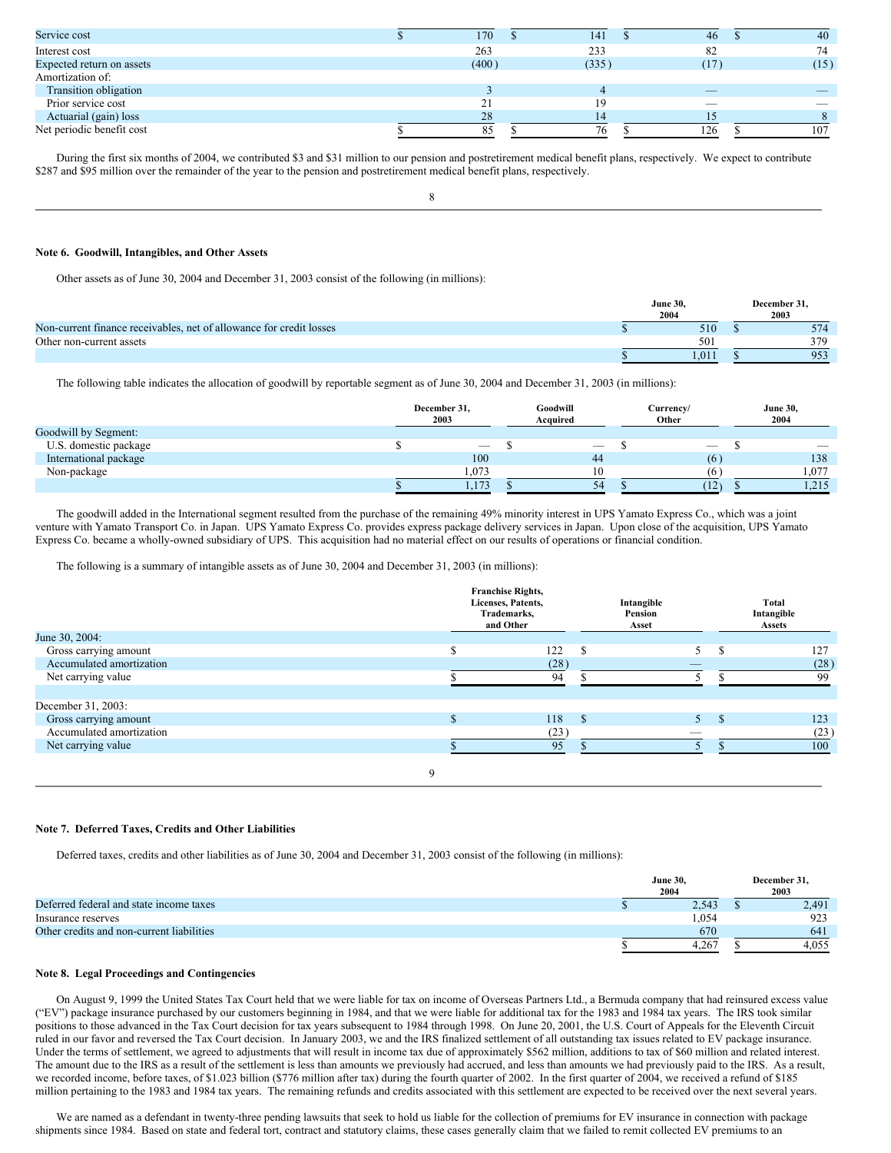| Service cost              | 170   | 141   | 46                       | 40                       |
|---------------------------|-------|-------|--------------------------|--------------------------|
| Interest cost             | 263   | 233   | 82                       | 74                       |
| Expected return on assets | (400) | (335) | (17)                     | (15)                     |
| Amortization of:          |       |       |                          |                          |
| Transition obligation     |       |       |                          |                          |
| Prior service cost        | 21    | 19    | $\overline{\phantom{a}}$ | $\overline{\phantom{a}}$ |
| Actuarial (gain) loss     | 28    | 14    |                          |                          |
| Net periodic benefit cost | 85    | 76    | 126                      | 107                      |

During the first six months of 2004, we contributed \$3 and \$31 million to our pension and postretirement medical benefit plans, respectively. We expect to contribute \$287 and \$95 million over the remainder of the year to the pension and postretirement medical benefit plans, respectively.

8

### **Note 6. Goodwill, Intangibles, and Other Assets**

Other assets as of June 30, 2004 and December 31, 2003 consist of the following (in millions):

|                                                                     | <b>June 30,</b> |       | December 31. |  |  |
|---------------------------------------------------------------------|-----------------|-------|--------------|--|--|
|                                                                     | 2004            |       | 2003         |  |  |
| Non-current finance receivables, net of allowance for credit losses |                 | 510   |              |  |  |
| Other non-current assets                                            |                 | 50    | 379          |  |  |
|                                                                     |                 | 1.011 | $05^\circ$   |  |  |

The following table indicates the allocation of goodwill by reportable segment as of June 30, 2004 and December 31, 2003 (in millions):

|                       | December 31,<br>2003     |  | Goodwill<br>Acquired |  |                          |                          | Currency/<br>Other | <b>June 30,</b><br>2004 |
|-----------------------|--------------------------|--|----------------------|--|--------------------------|--------------------------|--------------------|-------------------------|
| Goodwill by Segment:  |                          |  |                      |  |                          |                          |                    |                         |
| U.S. domestic package | $-$                      |  | $-$                  |  | $\overline{\phantom{a}}$ | $\overline{\phantom{a}}$ |                    |                         |
| International package | 100                      |  | 44                   |  | 61                       | 138                      |                    |                         |
| Non-package           | 1,073                    |  | 10                   |  | 'h                       | 1,077                    |                    |                         |
|                       | $\sqrt{2}$<br>1,1<br>ر ، |  | 54                   |  | 12                       | 1,215                    |                    |                         |

The goodwill added in the International segment resulted from the purchase of the remaining 49% minority interest in UPS Yamato Express Co., which was a joint venture with Yamato Transport Co. in Japan. UPS Yamato Express Co. provides express package delivery services in Japan. Upon close of the acquisition, UPS Yamato Express Co. became a wholly-owned subsidiary of UPS. This acquisition had no material effect on our results of operations or financial condition.

The following is a summary of intangible assets as of June 30, 2004 and December 31, 2003 (in millions):

| June 30, 2004:           |   | <b>Franchise Rights,</b><br>Licenses, Patents,<br>Trademarks,<br>and Other | Intangible<br>Pension<br>Asset |        | Total<br>Intangible<br>Assets |      |  |
|--------------------------|---|----------------------------------------------------------------------------|--------------------------------|--------|-------------------------------|------|--|
|                          |   | 122                                                                        | S                              | $\sim$ |                               | 127  |  |
| Gross carrying amount    |   |                                                                            |                                |        | JЪ.                           |      |  |
| Accumulated amortization |   | (28)                                                                       |                                |        |                               | (28) |  |
| Net carrying value       |   | 94                                                                         |                                |        |                               | 99   |  |
|                          |   |                                                                            |                                |        |                               |      |  |
| December 31, 2003:       |   |                                                                            |                                |        |                               |      |  |
| Gross carrying amount    |   | 118                                                                        | <sup>\$</sup>                  | $5 -$  | \$.                           | 123  |  |
| Accumulated amortization |   | (23)                                                                       |                                | $\sim$ |                               | (23) |  |
| Net carrying value       |   | 95                                                                         |                                |        |                               | 100  |  |
|                          | Q |                                                                            |                                |        |                               |      |  |

### **Note 7. Deferred Taxes, Credits and Other Liabilities**

Deferred taxes, credits and other liabilities as of June 30, 2004 and December 31, 2003 consist of the following (in millions):

|                                           | <b>June 30,</b><br>2004 | December 31,<br>2003 |
|-------------------------------------------|-------------------------|----------------------|
| Deferred federal and state income taxes   | 2,543                   | 2,491                |
| Insurance reserves                        | 1,054                   | 923                  |
| Other credits and non-current liabilities | 670                     | 641                  |
|                                           | 4.267                   | 4.055                |

# **Note 8. Legal Proceedings and Contingencies**

On August 9, 1999 the United States Tax Court held that we were liable for tax on income of Overseas Partners Ltd., a Bermuda company that had reinsured excess value ("EV") package insurance purchased by our customers beginning in 1984, and that we were liable for additional tax for the 1983 and 1984 tax years. The IRS took similar positions to those advanced in the Tax Court decision for tax years subsequent to 1984 through 1998. On June 20, 2001, the U.S. Court of Appeals for the Eleventh Circuit ruled in our favor and reversed the Tax Court decision. In January 2003, we and the IRS finalized settlement of all outstanding tax issues related to EV package insurance. Under the terms of settlement, we agreed to adjustments that will result in income tax due of approximately \$562 million, additions to tax of \$60 million and related interest. The amount due to the IRS as a result of the settlement is less than amounts we previously had accrued, and less than amounts we had previously paid to the IRS. As a result, we recorded income, before taxes, of \$1.023 billion (\$776 million after tax) during the fourth quarter of 2002. In the first quarter of 2004, we received a refund of \$185 million pertaining to the 1983 and 1984 tax years. The remaining refunds and credits associated with this settlement are expected to be received over the next several years.

We are named as a defendant in twenty-three pending lawsuits that seek to hold us liable for the collection of premiums for EV insurance in connection with package shipments since 1984. Based on state and federal tort, contract and statutory claims, these cases generally claim that we failed to remit collected EV premiums to an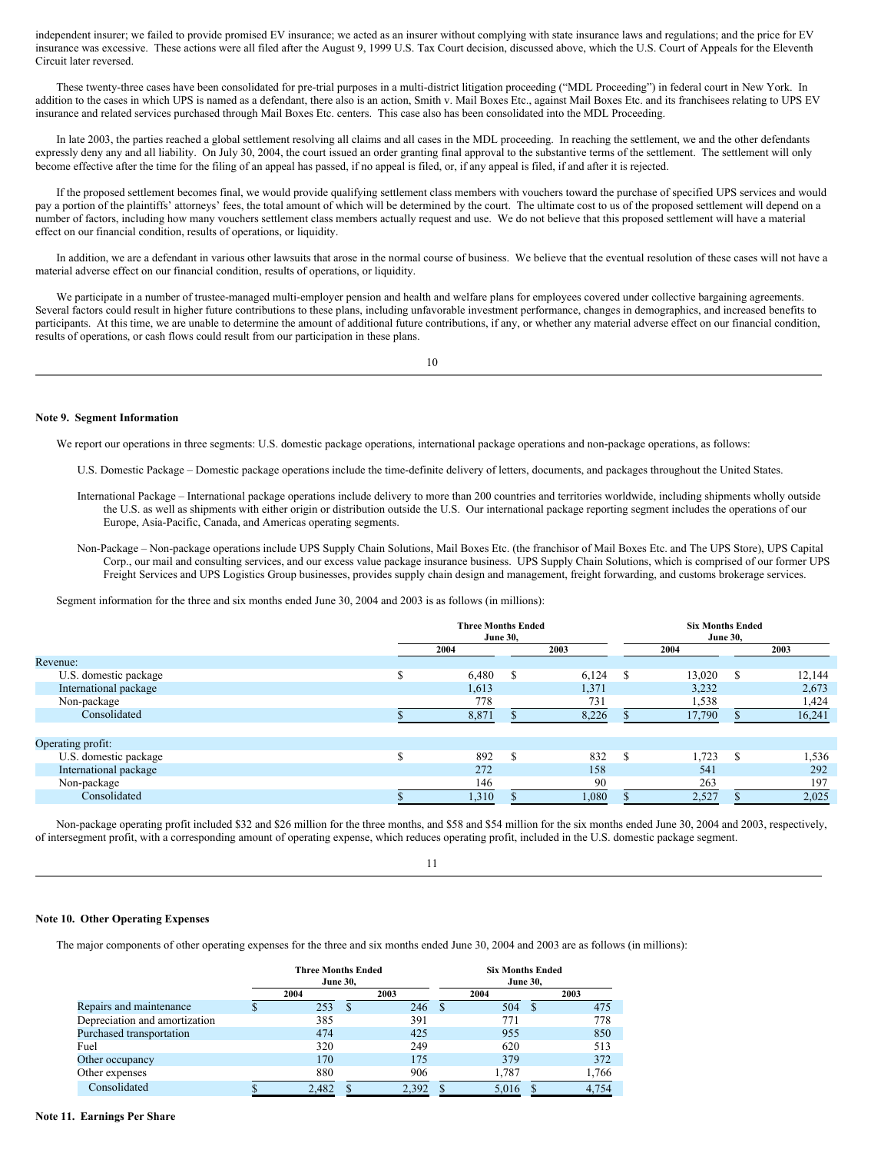independent insurer; we failed to provide promised EV insurance; we acted as an insurer without complying with state insurance laws and regulations; and the price for EV insurance was excessive. These actions were all filed after the August 9, 1999 U.S. Tax Court decision, discussed above, which the U.S. Court of Appeals for the Eleventh Circuit later reversed.

These twenty-three cases have been consolidated for pre-trial purposes in a multi-district litigation proceeding ("MDL Proceeding") in federal court in New York. In addition to the cases in which UPS is named as a defendant, there also is an action, Smith v. Mail Boxes Etc., against Mail Boxes Etc. and its franchisees relating to UPS EV insurance and related services purchased through Mail Boxes Etc. centers. This case also has been consolidated into the MDL Proceeding.

In late 2003, the parties reached a global settlement resolving all claims and all cases in the MDL proceeding. In reaching the settlement, we and the other defendants expressly deny any and all liability. On July 30, 2004, the court issued an order granting final approval to the substantive terms of the settlement. The settlement will only become effective after the time for the filing of an appeal has passed, if no appeal is filed, or, if any appeal is filed, if and after it is rejected.

If the proposed settlement becomes final, we would provide qualifying settlement class members with vouchers toward the purchase of specified UPS services and would pay a portion of the plaintiffs' attorneys' fees, the total amount of which will be determined by the court. The ultimate cost to us of the proposed settlement will depend on a number of factors, including how many vouchers settlement class members actually request and use. We do not believe that this proposed settlement will have a material effect on our financial condition, results of operations, or liquidity.

In addition, we are a defendant in various other lawsuits that arose in the normal course of business. We believe that the eventual resolution of these cases will not have a material adverse effect on our financial condition, results of operations, or liquidity.

We participate in a number of trustee-managed multi-employer pension and health and welfare plans for employees covered under collective bargaining agreements. Several factors could result in higher future contributions to these plans, including unfavorable investment performance, changes in demographics, and increased benefits to participants. At this time, we are unable to determine the amount of additional future contributions, if any, or whether any material adverse effect on our financial condition, results of operations, or cash flows could result from our participation in these plans.

10

### **Note 9. Segment Information**

We report our operations in three segments: U.S. domestic package operations, international package operations and non-package operations, as follows:

U.S. Domestic Package – Domestic package operations include the time-definite delivery of letters, documents, and packages throughout the United States.

International Package – International package operations include delivery to more than 200 countries and territories worldwide, including shipments wholly outside the U.S. as well as shipments with either origin or distribution outside the U.S. Our international package reporting segment includes the operations of our Europe, Asia-Pacific, Canada, and Americas operating segments.

Non-Package – Non-package operations include UPS Supply Chain Solutions, Mail Boxes Etc. (the franchisor of Mail Boxes Etc. and The UPS Store), UPS Capital Corp., our mail and consulting services, and our excess value package insurance business. UPS Supply Chain Solutions, which is comprised of our former UPS Freight Services and UPS Logistics Group businesses, provides supply chain design and management, freight forwarding, and customs brokerage services.

Segment information for the three and six months ended June 30, 2004 and 2003 is as follows (in millions):

|                       | <b>Three Months Ended</b><br><b>June 30,</b> |       |    |       | <b>Six Months Ended</b><br><b>June 30,</b> |        |               |        |
|-----------------------|----------------------------------------------|-------|----|-------|--------------------------------------------|--------|---------------|--------|
|                       |                                              | 2004  |    | 2003  |                                            | 2004   |               | 2003   |
| Revenue:              |                                              |       |    |       |                                            |        |               |        |
| U.S. domestic package | ¢<br>ה.                                      | 6,480 | -S | 6,124 | S                                          | 13,020 | <sup>\$</sup> | 12,144 |
| International package |                                              | 1,613 |    | 1,371 |                                            | 3,232  |               | 2,673  |
| Non-package           |                                              | 778   |    | 731   |                                            | 1,538  |               | 1,424  |
| Consolidated          |                                              | 8,871 |    | 8,226 |                                            | 17,790 |               | 16,241 |
|                       |                                              |       |    |       |                                            |        |               |        |
| Operating profit:     |                                              |       |    |       |                                            |        |               |        |
| U.S. domestic package | ¢                                            | 892   | S  | 832   | <sup>\$</sup>                              | .723   | <sup>\$</sup> | 1,536  |
| International package |                                              | 272   |    | 158   |                                            | 541    |               | 292    |
| Non-package           |                                              | 146   |    | 90    |                                            | 263    |               | 197    |
| Consolidated          |                                              | 1,310 |    | 1,080 |                                            | 2,527  |               | 2,025  |

Non-package operating profit included \$32 and \$26 million for the three months, and \$58 and \$54 million for the six months ended June 30, 2004 and 2003, respectively, of intersegment profit, with a corresponding amount of operating expense, which reduces operating profit, included in the U.S. domestic package segment.

11

# **Note 10. Other Operating Expenses**

The major components of other operating expenses for the three and six months ended June 30, 2004 and 2003 are as follows (in millions):

|                               |   |                 | <b>Three Months Ended</b> |       |     |                 |  | <b>Six Months Ended</b> |  |  |  |
|-------------------------------|---|-----------------|---------------------------|-------|-----|-----------------|--|-------------------------|--|--|--|
|                               |   | <b>June 30.</b> |                           |       |     | <b>June 30,</b> |  |                         |  |  |  |
|                               |   | 2004            |                           | 2003  |     | 2004            |  | 2003                    |  |  |  |
| Repairs and maintenance       | S | 253             | -S                        | 246   | - S | 504             |  | 475                     |  |  |  |
| Depreciation and amortization |   | 385             |                           | 391   |     | 771             |  | 778                     |  |  |  |
| Purchased transportation      |   | 474             |                           | 425   |     | 955             |  | 850                     |  |  |  |
| Fuel                          |   | 320             |                           | 249   |     | 620             |  | 513                     |  |  |  |
| Other occupancy               |   | 170             |                           | 175   |     | 379             |  | 372                     |  |  |  |
| Other expenses                |   | 880             |                           | 906   |     | 1,787           |  | 1,766                   |  |  |  |
| Consolidated                  |   | 2.482           |                           | 2.392 |     | 5.016           |  | 4.754                   |  |  |  |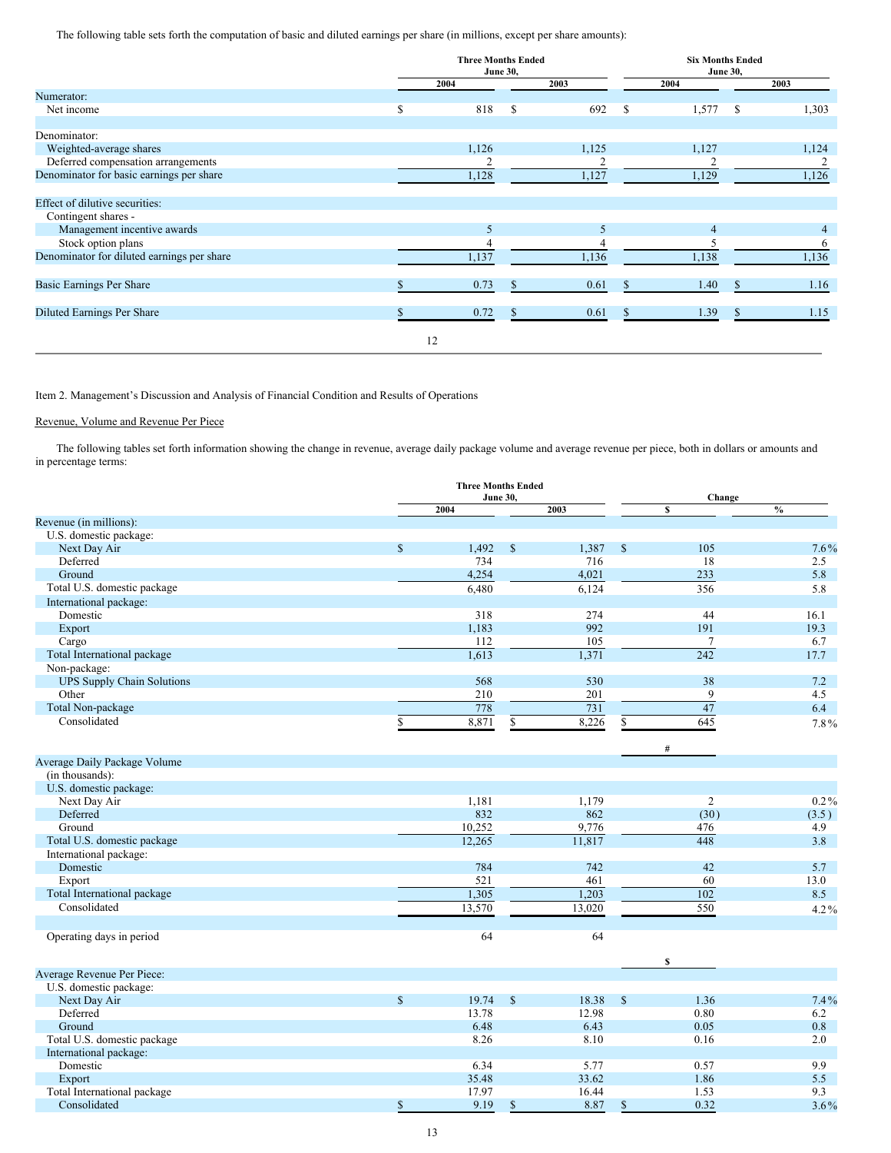The following table sets forth the computation of basic and diluted earnings per share (in millions, except per share amounts):

|                                            | <b>Three Months Ended</b><br><b>June 30,</b> |       |    |       |    | <b>Six Months Ended</b><br><b>June 30,</b> |               |       |  |
|--------------------------------------------|----------------------------------------------|-------|----|-------|----|--------------------------------------------|---------------|-------|--|
|                                            |                                              | 2004  |    | 2003  |    | 2004                                       |               | 2003  |  |
| Numerator:                                 |                                              |       |    |       |    |                                            |               |       |  |
| Net income                                 | \$                                           | 818   | -S | 692   | S  | 1,577                                      | <sup>\$</sup> | 1,303 |  |
| Denominator:                               |                                              |       |    |       |    |                                            |               |       |  |
| Weighted-average shares                    |                                              | 1,126 |    | 1,125 |    | 1,127                                      |               | 1,124 |  |
| Deferred compensation arrangements         |                                              | 2     |    |       |    |                                            |               |       |  |
| Denominator for basic earnings per share   |                                              | 1,128 |    | 1,127 |    | 1,129                                      |               | 1,126 |  |
| Effect of dilutive securities:             |                                              |       |    |       |    |                                            |               |       |  |
| Contingent shares -                        |                                              |       |    |       |    |                                            |               |       |  |
| Management incentive awards                |                                              | 5     |    | 5     |    | $\overline{4}$                             |               | 4     |  |
| Stock option plans                         |                                              | 4     |    |       |    |                                            |               | 6     |  |
| Denominator for diluted earnings per share |                                              | 1,137 |    | 1,136 |    | 1,138                                      |               | 1,136 |  |
| <b>Basic Earnings Per Share</b>            |                                              | 0.73  |    | 0.61  |    | 1.40                                       |               | 1.16  |  |
| <b>Diluted Earnings Per Share</b>          |                                              | 0.72  |    | 0.61  | S. | 1.39                                       |               | 1.15  |  |
|                                            |                                              | 12    |    |       |    |                                            |               |       |  |

Item 2. Management's Discussion and Analysis of Financial Condition and Results of Operations

# Revenue, Volume and Revenue Per Piece

The following tables set forth information showing the change in revenue, average daily package volume and average revenue per piece, both in dollars or amounts and in percentage terms:

|                                   |                           | <b>Three Months Ended</b><br><b>June 30,</b> |              |        |               |                | Change        |  |  |  |
|-----------------------------------|---------------------------|----------------------------------------------|--------------|--------|---------------|----------------|---------------|--|--|--|
|                                   |                           | 2004                                         |              | 2003   |               | \$             | $\frac{0}{0}$ |  |  |  |
| Revenue (in millions):            |                           |                                              |              |        |               |                |               |  |  |  |
| U.S. domestic package:            |                           |                                              |              |        |               |                |               |  |  |  |
| Next Day Air                      | $\mathbf S$               | 1,492                                        | $\mathbb{S}$ | 1,387  | $\mathsf{\$}$ | 105            | 7.6%          |  |  |  |
| Deferred                          |                           | 734                                          |              | 716    |               | 18             | 2.5           |  |  |  |
| Ground                            |                           | 4,254                                        |              | 4,021  |               | 233            | 5.8           |  |  |  |
| Total U.S. domestic package       |                           | 6,480                                        |              | 6,124  |               | 356            | 5.8           |  |  |  |
| International package:            |                           |                                              |              |        |               |                |               |  |  |  |
| Domestic                          |                           | 318                                          |              | 274    |               | 44             | 16.1          |  |  |  |
| Export                            |                           | 1,183                                        |              | 992    |               | 191            | 19.3          |  |  |  |
| Cargo                             |                           | 112                                          |              | 105    |               | $\overline{7}$ | 6.7           |  |  |  |
| Total International package       |                           | 1,613                                        |              | 1,371  |               | 242            | 17.7          |  |  |  |
| Non-package:                      |                           |                                              |              |        |               |                |               |  |  |  |
| <b>UPS Supply Chain Solutions</b> |                           | 568                                          |              | 530    |               | 38             | 7.2           |  |  |  |
| Other                             |                           | 210                                          |              | 201    |               | 9              | 4.5           |  |  |  |
| Total Non-package                 |                           | 778                                          |              | 731    |               | 47             | 6.4           |  |  |  |
| Consolidated                      | \$                        | 8,871                                        | $\mathbb S$  | 8,226  | \$            | 645            | 7.8%          |  |  |  |
|                                   |                           |                                              |              |        |               |                |               |  |  |  |
|                                   |                           |                                              |              |        |               | $\#$           |               |  |  |  |
| Average Daily Package Volume      |                           |                                              |              |        |               |                |               |  |  |  |
| (in thousands):                   |                           |                                              |              |        |               |                |               |  |  |  |
| U.S. domestic package:            |                           |                                              |              |        |               |                |               |  |  |  |
| Next Day Air                      |                           | 1,181                                        |              | 1,179  |               | 2              | $0.2\%$       |  |  |  |
| Deferred                          |                           | 832                                          |              | 862    |               | (30)           | (3.5)         |  |  |  |
| Ground                            |                           | 10,252                                       |              | 9,776  |               | 476            | 4.9           |  |  |  |
| Total U.S. domestic package       |                           | 12,265                                       |              | 11,817 |               | 448            | 3.8           |  |  |  |
| International package:            |                           |                                              |              |        |               |                |               |  |  |  |
| Domestic                          |                           | 784                                          |              | 742    |               | 42             | 5.7           |  |  |  |
| Export                            |                           | 521                                          |              | 461    |               | 60             | 13.0          |  |  |  |
| Total International package       |                           | 1,305                                        |              | 1,203  |               | 102            | 8.5           |  |  |  |
| Consolidated                      |                           | 13,570                                       |              | 13,020 |               | 550            | 4.2%          |  |  |  |
|                                   |                           |                                              |              |        |               |                |               |  |  |  |
| Operating days in period          |                           | 64                                           |              | 64     |               |                |               |  |  |  |
|                                   |                           |                                              |              |        |               |                |               |  |  |  |
|                                   |                           |                                              |              |        |               | \$             |               |  |  |  |
| Average Revenue Per Piece:        |                           |                                              |              |        |               |                |               |  |  |  |
| U.S. domestic package:            |                           |                                              |              |        |               |                |               |  |  |  |
| Next Day Air                      | $\mathsf{\$}$             | 19.74                                        | $\mathbb{S}$ | 18.38  | $\mathsf{\$}$ | 1.36           | 7.4%          |  |  |  |
| Deferred                          |                           | 13.78                                        |              | 12.98  |               | 0.80           | 6.2           |  |  |  |
| Ground                            |                           | 6.48                                         |              | 6.43   |               | 0.05           | 0.8           |  |  |  |
| Total U.S. domestic package       |                           | 8.26                                         |              | 8.10   |               | 0.16           | 2.0           |  |  |  |
| International package:            |                           |                                              |              |        |               |                |               |  |  |  |
| Domestic                          |                           | 6.34                                         |              | 5.77   |               | 0.57           | 9.9           |  |  |  |
| Export                            |                           | 35.48                                        |              | 33.62  |               | 1.86           | 5.5           |  |  |  |
| Total International package       |                           | 17.97                                        |              | 16.44  |               | 1.53           | 9.3           |  |  |  |
| Consolidated                      | $\boldsymbol{\mathsf{S}}$ | 9.19                                         | $\mathbb{S}$ | 8.87   | $\$$          | 0.32           | $3.6\%$       |  |  |  |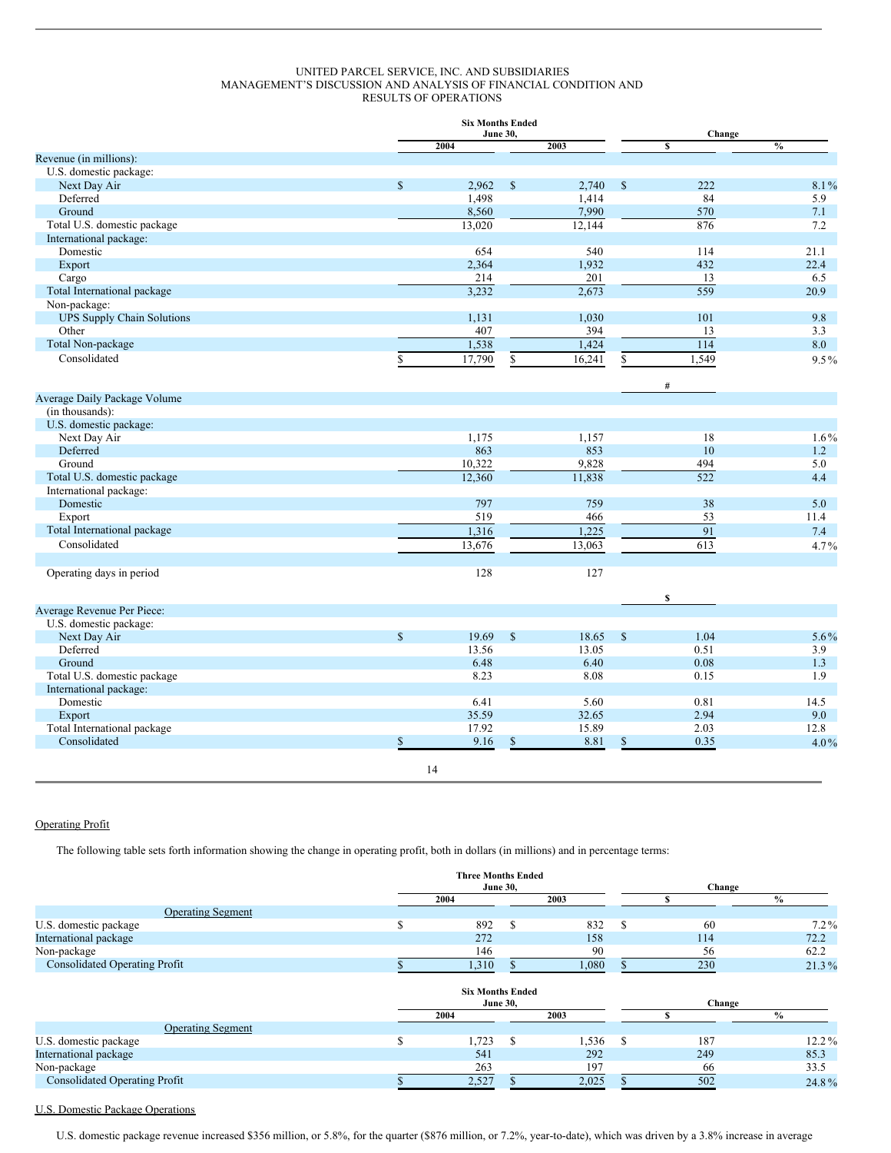# UNITED PARCEL SERVICE, INC. AND SUBSIDIARIES MANAGEMENT'S DISCUSSION AND ANALYSIS OF FINANCIAL CONDITION AND RESULTS OF OPERATIONS

|                                        |              | <b>Six Months Ended</b><br><b>June 30,</b> |              |        |               | Change       |               |  |
|----------------------------------------|--------------|--------------------------------------------|--------------|--------|---------------|--------------|---------------|--|
|                                        |              | 2004                                       |              | 2003   |               | s            | $\frac{0}{0}$ |  |
| Revenue (in millions):                 |              |                                            |              |        |               |              |               |  |
| U.S. domestic package:                 |              |                                            |              |        |               |              |               |  |
| Next Day Air                           | $\mathbb{S}$ | 2,962                                      | $\mathbb{S}$ | 2,740  | $\mathbb{S}$  | 222          | $8.1\%$       |  |
| Deferred                               |              | 1,498                                      |              | 1,414  |               | 84           | 5.9           |  |
| Ground                                 |              | 8,560                                      |              | 7,990  |               | 570          | 7.1           |  |
| Total U.S. domestic package            |              | 13,020                                     |              | 12,144 |               | 876          | 7.2           |  |
| International package:                 |              |                                            |              |        |               |              |               |  |
| Domestic                               |              | 654                                        |              | 540    |               | 114          | 21.1          |  |
| Export                                 |              | 2,364                                      |              | 1,932  |               | 432          | 22.4          |  |
| Cargo                                  |              | 214                                        |              | 201    |               | 13           | 6.5           |  |
| Total International package            |              | 3,232                                      |              | 2,673  |               | 559          | 20.9          |  |
| Non-package:                           |              |                                            |              |        |               |              |               |  |
| <b>UPS Supply Chain Solutions</b>      |              | 1,131                                      |              | 1,030  |               | 101          | 9.8           |  |
| Other                                  |              | 407                                        |              | 394    |               | 13           | 3.3           |  |
| Total Non-package                      |              | 1,538                                      |              | 1,424  |               | 114          | 8.0           |  |
| Consolidated                           | S            | 17,790                                     | $\mathbb{S}$ | 16,241 | \$            | 1,549        | $9.5\%$       |  |
|                                        |              |                                            |              |        |               | $\#$         |               |  |
| Average Daily Package Volume           |              |                                            |              |        |               |              |               |  |
| (in thousands):                        |              |                                            |              |        |               |              |               |  |
| U.S. domestic package:                 |              |                                            |              |        |               |              |               |  |
| Next Day Air                           |              | 1,175                                      |              | 1,157  |               | 18           | $1.6\%$       |  |
| Deferred                               |              | 863                                        |              | 853    |               | 10           | 1.2           |  |
| Ground                                 |              | 10,322                                     |              | 9,828  |               | 494          | 5.0           |  |
| Total U.S. domestic package            |              | 12,360                                     |              | 11,838 |               | 522          | 4.4           |  |
| International package:                 |              |                                            |              |        |               |              |               |  |
| Domestic                               |              | 797                                        |              | 759    |               | 38           | 5.0           |  |
| Export                                 |              | 519                                        |              | 466    |               | 53           | 11.4          |  |
| Total International package            |              | 1,316                                      |              | 1,225  |               | 91           | 7.4           |  |
| Consolidated                           |              | 13,676                                     |              | 13,063 |               | 613          | 4.7%          |  |
| Operating days in period               |              | 128                                        |              | 127    |               |              |               |  |
|                                        |              |                                            |              |        |               | \$           |               |  |
| Average Revenue Per Piece:             |              |                                            |              |        |               |              |               |  |
| U.S. domestic package:<br>Next Day Air | $\mathbf{s}$ | 19.69                                      | $\mathbf S$  | 18.65  | $\mathcal{S}$ | 1.04         |               |  |
|                                        |              |                                            |              |        |               |              | 5.6%          |  |
| Deferred                               |              | 13.56                                      |              | 13.05  |               | 0.51         | 3.9           |  |
| Ground                                 |              | 6.48                                       |              | 6.40   |               | 0.08         | 1.3           |  |
| Total U.S. domestic package            |              | 8.23                                       |              | 8.08   |               | 0.15         | 1.9           |  |
| International package:<br>Domestic     |              |                                            |              |        |               |              |               |  |
|                                        |              | 6.41<br>35.59                              |              | 5.60   |               | 0.81<br>2.94 | 14.5<br>9.0   |  |
| Export                                 |              |                                            |              | 32.65  |               |              |               |  |
| Total International package            |              | 17.92                                      |              | 15.89  |               | 2.03         | 12.8          |  |
| Consolidated                           | \$           | 9.16                                       | \$           | 8.81   | \$            | 0.35         | $4.0\%$       |  |
|                                        |              | 14                                         |              |        |               |              |               |  |

# Operating Profit

The following table sets forth information showing the change in operating profit, both in dollars (in millions) and in percentage terms:

|                                      | <b>Three Months Ended</b><br><b>June 30,</b> |   |       |    | Change |               |
|--------------------------------------|----------------------------------------------|---|-------|----|--------|---------------|
|                                      | 2004                                         |   | 2003  |    |        | $\frac{6}{6}$ |
| <b>Operating Segment</b>             |                                              |   |       |    |        |               |
| U.S. domestic package                | \$<br>892                                    | S | 832   | \$ | 60     | $7.2\%$       |
| International package                | 272                                          |   | 158   |    | 114    | 72.2          |
| Non-package                          | 146                                          |   | 90    |    | 56     | 62.2          |
| <b>Consolidated Operating Profit</b> | 1,310                                        |   | 1,080 |    | 230    | 21.3%         |
|                                      | <b>Six Months Ended</b>                      |   |       |    |        |               |
|                                      | <b>June 30,</b>                              |   |       |    | Change |               |
|                                      | 2004                                         |   | 2003  |    |        | $\frac{0}{0}$ |
| <b>Operating Segment</b>             |                                              |   |       |    |        |               |
| U.S. domestic package                | \$<br>1,723                                  | S | 1,536 | \$ | 187    | $12.2\%$      |
| International package                | 541                                          |   | 292   |    | 249    | 85.3          |
| Non-package                          | 263                                          |   | 197   |    | 66     | 33.5          |
| <b>Consolidated Operating Profit</b> | 2,527                                        |   | 2,025 |    | 502    | 24.8%         |

U.S. Domestic Package Operations

U.S. domestic package revenue increased \$356 million, or 5.8%, for the quarter (\$876 million, or 7.2%, year-to-date), which was driven by a 3.8% increase in average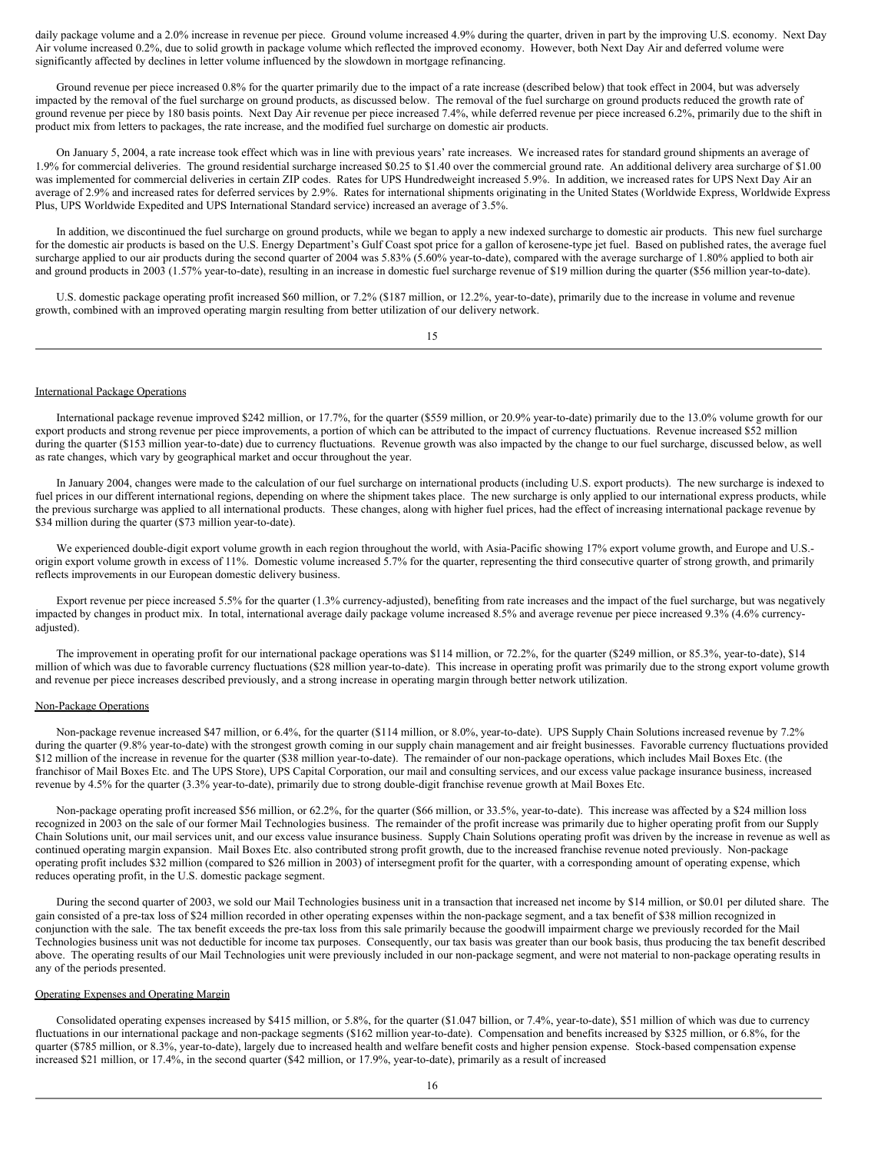daily package volume and a 2.0% increase in revenue per piece. Ground volume increased 4.9% during the quarter, driven in part by the improving U.S. economy. Next Day Air volume increased 0.2%, due to solid growth in package volume which reflected the improved economy. However, both Next Day Air and deferred volume were significantly affected by declines in letter volume influenced by the slowdown in mortgage refinancing.

Ground revenue per piece increased 0.8% for the quarter primarily due to the impact of a rate increase (described below) that took effect in 2004, but was adversely impacted by the removal of the fuel surcharge on ground products, as discussed below. The removal of the fuel surcharge on ground products reduced the growth rate of ground revenue per piece by 180 basis points. Next Day Air revenue per piece increased 7.4%, while deferred revenue per piece increased 6.2%, primarily due to the shift in product mix from letters to packages, the rate increase, and the modified fuel surcharge on domestic air products.

On January 5, 2004, a rate increase took effect which was in line with previous years' rate increases. We increased rates for standard ground shipments an average of 1.9% for commercial deliveries. The ground residential surcharge increased \$0.25 to \$1.40 over the commercial ground rate. An additional delivery area surcharge of \$1.00 was implemented for commercial deliveries in certain ZIP codes. Rates for UPS Hundredweight increased 5.9%. In addition, we increased rates for UPS Next Day Air an average of 2.9% and increased rates for deferred services by 2.9%. Rates for international shipments originating in the United States (Worldwide Express, Worldwide Express Plus, UPS Worldwide Expedited and UPS International Standard service) increased an average of 3.5%.

In addition, we discontinued the fuel surcharge on ground products, while we began to apply a new indexed surcharge to domestic air products. This new fuel surcharge for the domestic air products is based on the U.S. Energy Department's Gulf Coast spot price for a gallon of kerosene-type jet fuel. Based on published rates, the average fuel surcharge applied to our air products during the second quarter of 2004 was 5.83% (5.60% year-to-date), compared with the average surcharge of 1.80% applied to both air and ground products in 2003 (1.57% year-to-date), resulting in an increase in domestic fuel surcharge revenue of \$19 million during the quarter (\$56 million year-to-date).

U.S. domestic package operating profit increased \$60 million, or 7.2% (\$187 million, or 12.2%, year-to-date), primarily due to the increase in volume and revenue growth, combined with an improved operating margin resulting from better utilization of our delivery network.

15

# International Package Operations

International package revenue improved \$242 million, or 17.7%, for the quarter (\$559 million, or 20.9% year-to-date) primarily due to the 13.0% volume growth for our export products and strong revenue per piece improvements, a portion of which can be attributed to the impact of currency fluctuations. Revenue increased \$52 million during the quarter (\$153 million year-to-date) due to currency fluctuations. Revenue growth was also impacted by the change to our fuel surcharge, discussed below, as well as rate changes, which vary by geographical market and occur throughout the year.

In January 2004, changes were made to the calculation of our fuel surcharge on international products (including U.S. export products). The new surcharge is indexed to fuel prices in our different international regions, depending on where the shipment takes place. The new surcharge is only applied to our international express products, while the previous surcharge was applied to all international products. These changes, along with higher fuel prices, had the effect of increasing international package revenue by \$34 million during the quarter (\$73 million year-to-date).

We experienced double-digit export volume growth in each region throughout the world, with Asia-Pacific showing 17% export volume growth, and Europe and U.S.origin export volume growth in excess of 11%. Domestic volume increased 5.7% for the quarter, representing the third consecutive quarter of strong growth, and primarily reflects improvements in our European domestic delivery business.

Export revenue per piece increased 5.5% for the quarter (1.3% currency-adjusted), benefiting from rate increases and the impact of the fuel surcharge, but was negatively impacted by changes in product mix. In total, international average daily package volume increased 8.5% and average revenue per piece increased 9.3% (4.6% currencyadjusted).

The improvement in operating profit for our international package operations was \$114 million, or 72.2%, for the quarter (\$249 million, or 85.3%, year-to-date), \$14 million of which was due to favorable currency fluctuations (\$28 million year-to-date). This increase in operating profit was primarily due to the strong export volume growth and revenue per piece increases described previously, and a strong increase in operating margin through better network utilization.

### Non-Package Operations

Non-package revenue increased \$47 million, or 6.4%, for the quarter (\$114 million, or 8.0%, year-to-date). UPS Supply Chain Solutions increased revenue by 7.2% during the quarter (9.8% year-to-date) with the strongest growth coming in our supply chain management and air freight businesses. Favorable currency fluctuations provided \$12 million of the increase in revenue for the quarter (\$38 million year-to-date). The remainder of our non-package operations, which includes Mail Boxes Etc. (the franchisor of Mail Boxes Etc. and The UPS Store), UPS Capital Corporation, our mail and consulting services, and our excess value package insurance business, increased revenue by 4.5% for the quarter (3.3% year-to-date), primarily due to strong double-digit franchise revenue growth at Mail Boxes Etc.

Non-package operating profit increased \$56 million, or 62.2%, for the quarter (\$66 million, or 33.5%, year-to-date). This increase was affected by a \$24 million loss recognized in 2003 on the sale of our former Mail Technologies business. The remainder of the profit increase was primarily due to higher operating profit from our Supply Chain Solutions unit, our mail services unit, and our excess value insurance business. Supply Chain Solutions operating profit was driven by the increase in revenue as well as continued operating margin expansion. Mail Boxes Etc. also contributed strong profit growth, due to the increased franchise revenue noted previously. Non-package operating profit includes \$32 million (compared to \$26 million in 2003) of intersegment profit for the quarter, with a corresponding amount of operating expense, which reduces operating profit, in the U.S. domestic package segment.

During the second quarter of 2003, we sold our Mail Technologies business unit in a transaction that increased net income by \$14 million, or \$0.01 per diluted share. The gain consisted of a pre-tax loss of \$24 million recorded in other operating expenses within the non-package segment, and a tax benefit of \$38 million recognized in conjunction with the sale. The tax benefit exceeds the pre-tax loss from this sale primarily because the goodwill impairment charge we previously recorded for the Mail Technologies business unit was not deductible for income tax purposes. Consequently, our tax basis was greater than our book basis, thus producing the tax benefit described above. The operating results of our Mail Technologies unit were previously included in our non-package segment, and were not material to non-package operating results in any of the periods presented.

### Operating Expenses and Operating Margin

Consolidated operating expenses increased by \$415 million, or 5.8%, for the quarter (\$1.047 billion, or 7.4%, year-to-date), \$51 million of which was due to currency fluctuations in our international package and non-package segments (\$162 million year-to-date). Compensation and benefits increased by \$325 million, or 6.8%, for the quarter (\$785 million, or 8.3%, year-to-date), largely due to increased health and welfare benefit costs and higher pension expense. Stock-based compensation expense increased \$21 million, or 17.4%, in the second quarter (\$42 million, or 17.9%, year-to-date), primarily as a result of increased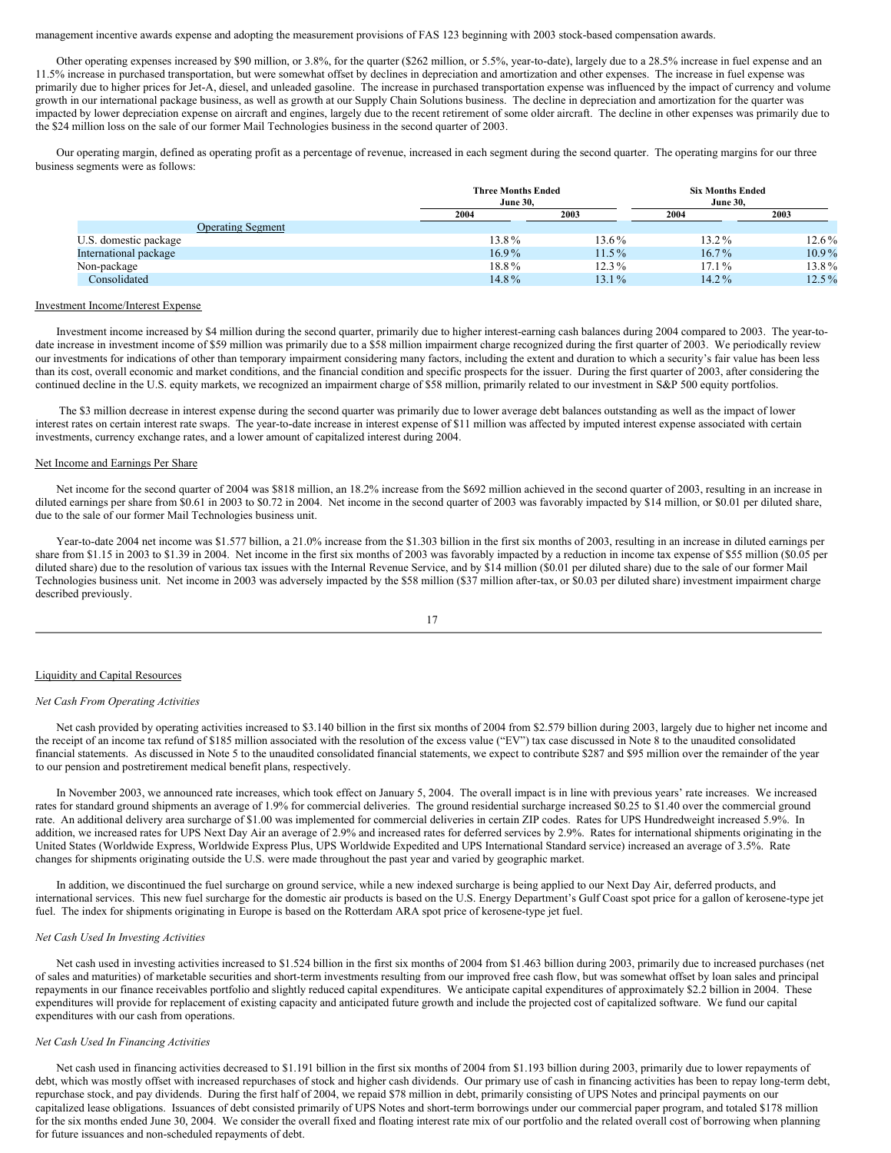# management incentive awards expense and adopting the measurement provisions of FAS 123 beginning with 2003 stock-based compensation awards.

Other operating expenses increased by \$90 million, or 3.8%, for the quarter (\$262 million, or 5.5%, year-to-date), largely due to a 28.5% increase in fuel expense and an 11.5% increase in purchased transportation, but were somewhat offset by declines in depreciation and amortization and other expenses. The increase in fuel expense was primarily due to higher prices for Jet-A, diesel, and unleaded gasoline. The increase in purchased transportation expense was influenced by the impact of currency and volume growth in our international package business, as well as growth at our Supply Chain Solutions business. The decline in depreciation and amortization for the quarter was impacted by lower depreciation expense on aircraft and engines, largely due to the recent retirement of some older aircraft. The decline in other expenses was primarily due to the \$24 million loss on the sale of our former Mail Technologies business in the second quarter of 2003.

Our operating margin, defined as operating profit as a percentage of revenue, increased in each segment during the second quarter. The operating margins for our three business segments were as follows:

|                          | <b>Three Months Ended</b><br><b>June 30,</b> |          | <b>Six Months Ended</b><br><b>June 30,</b> |       |  |  |
|--------------------------|----------------------------------------------|----------|--------------------------------------------|-------|--|--|
|                          | 2004                                         | 2003     | 2004                                       | 2003  |  |  |
| <b>Operating Segment</b> |                                              |          |                                            |       |  |  |
| U.S. domestic package    | 13.8%                                        | $13.6\%$ | $13.2\%$                                   | 12.6% |  |  |
| International package    | $16.9\%$                                     | $11.5\%$ | $16.7\%$                                   | 10.9% |  |  |
| Non-package              | 18.8%                                        | $12.3\%$ | $17.1\%$                                   | 13.8% |  |  |
| Consolidated             | 14.8%                                        | $13.1\%$ | $14.2\%$                                   | 12.5% |  |  |

### Investment Income/Interest Expense

Investment income increased by \$4 million during the second quarter, primarily due to higher interest-earning cash balances during 2004 compared to 2003. The year-todate increase in investment income of \$59 million was primarily due to a \$58 million impairment charge recognized during the first quarter of 2003. We periodically review our investments for indications of other than temporary impairment considering many factors, including the extent and duration to which a security's fair value has been less than its cost, overall economic and market conditions, and the financial condition and specific prospects for the issuer. During the first quarter of 2003, after considering the continued decline in the U.S. equity markets, we recognized an impairment charge of \$58 million, primarily related to our investment in S&P 500 equity portfolios.

The \$3 million decrease in interest expense during the second quarter was primarily due to lower average debt balances outstanding as well as the impact of lower interest rates on certain interest rate swaps. The year-to-date increase in interest expense of \$11 million was affected by imputed interest expense associated with certain investments, currency exchange rates, and a lower amount of capitalized interest during 2004.

### Net Income and Earnings Per Share

Net income for the second quarter of 2004 was \$818 million, an 18.2% increase from the \$692 million achieved in the second quarter of 2003, resulting in an increase in diluted earnings per share from \$0.61 in 2003 to \$0.72 in 2004. Net income in the second quarter of 2003 was favorably impacted by \$14 million, or \$0.01 per diluted share, due to the sale of our former Mail Technologies business unit.

Year-to-date 2004 net income was \$1.577 billion, a 21.0% increase from the \$1.303 billion in the first six months of 2003, resulting in an increase in diluted earnings per share from \$1.15 in 2003 to \$1.39 in 2004. Net income in the first six months of 2003 was favorably impacted by a reduction in income tax expense of \$55 million (\$0.05 per diluted share) due to the resolution of various tax issues with the Internal Revenue Service, and by \$14 million (\$0.01 per diluted share) due to the sale of our former Mail Technologies business unit. Net income in 2003 was adversely impacted by the \$58 million (\$37 million after-tax, or \$0.03 per diluted share) investment impairment charge described previously.

17

### Liquidity and Capital Resources

### *Net Cash From Operating Activities*

Net cash provided by operating activities increased to \$3.140 billion in the first six months of 2004 from \$2.579 billion during 2003, largely due to higher net income and the receipt of an income tax refund of \$185 million associated with the resolution of the excess value ("EV") tax case discussed in Note 8 to the unaudited consolidated financial statements. As discussed in Note 5 to the unaudited consolidated financial statements, we expect to contribute \$287 and \$95 million over the remainder of the year to our pension and postretirement medical benefit plans, respectively.

In November 2003, we announced rate increases, which took effect on January 5, 2004. The overall impact is in line with previous years' rate increases. We increased rates for standard ground shipments an average of 1.9% for commercial deliveries. The ground residential surcharge increased \$0.25 to \$1.40 over the commercial ground rate. An additional delivery area surcharge of \$1.00 was implemented for commercial deliveries in certain ZIP codes. Rates for UPS Hundredweight increased 5.9%. In addition, we increased rates for UPS Next Day Air an average of 2.9% and increased rates for deferred services by 2.9%. Rates for international shipments originating in the United States (Worldwide Express, Worldwide Express Plus, UPS Worldwide Expedited and UPS International Standard service) increased an average of 3.5%. Rate changes for shipments originating outside the U.S. were made throughout the past year and varied by geographic market.

In addition, we discontinued the fuel surcharge on ground service, while a new indexed surcharge is being applied to our Next Day Air, deferred products, and international services. This new fuel surcharge for the domestic air products is based on the U.S. Energy Department's Gulf Coast spot price for a gallon of kerosene-type jet fuel. The index for shipments originating in Europe is based on the Rotterdam ARA spot price of kerosene-type jet fuel.

### *Net Cash Used In Investing Activities*

Net cash used in investing activities increased to \$1.524 billion in the first six months of 2004 from \$1.463 billion during 2003, primarily due to increased purchases (net of sales and maturities) of marketable securities and short-term investments resulting from our improved free cash flow, but was somewhat offset by loan sales and principal repayments in our finance receivables portfolio and slightly reduced capital expenditures. We anticipate capital expenditures of approximately \$2.2 billion in 2004. These expenditures will provide for replacement of existing capacity and anticipated future growth and include the projected cost of capitalized software. We fund our capital expenditures with our cash from operations.

### *Net Cash Used In Financing Activities*

Net cash used in financing activities decreased to \$1.191 billion in the first six months of 2004 from \$1.193 billion during 2003, primarily due to lower repayments of debt, which was mostly offset with increased repurchases of stock and higher cash dividends. Our primary use of cash in financing activities has been to repay long-term debt, repurchase stock, and pay dividends. During the first half of 2004, we repaid \$78 million in debt, primarily consisting of UPS Notes and principal payments on our capitalized lease obligations. Issuances of debt consisted primarily of UPS Notes and short-term borrowings under our commercial paper program, and totaled \$178 million for the six months ended June 30, 2004. We consider the overall fixed and floating interest rate mix of our portfolio and the related overall cost of borrowing when planning for future issuances and non-scheduled repayments of debt.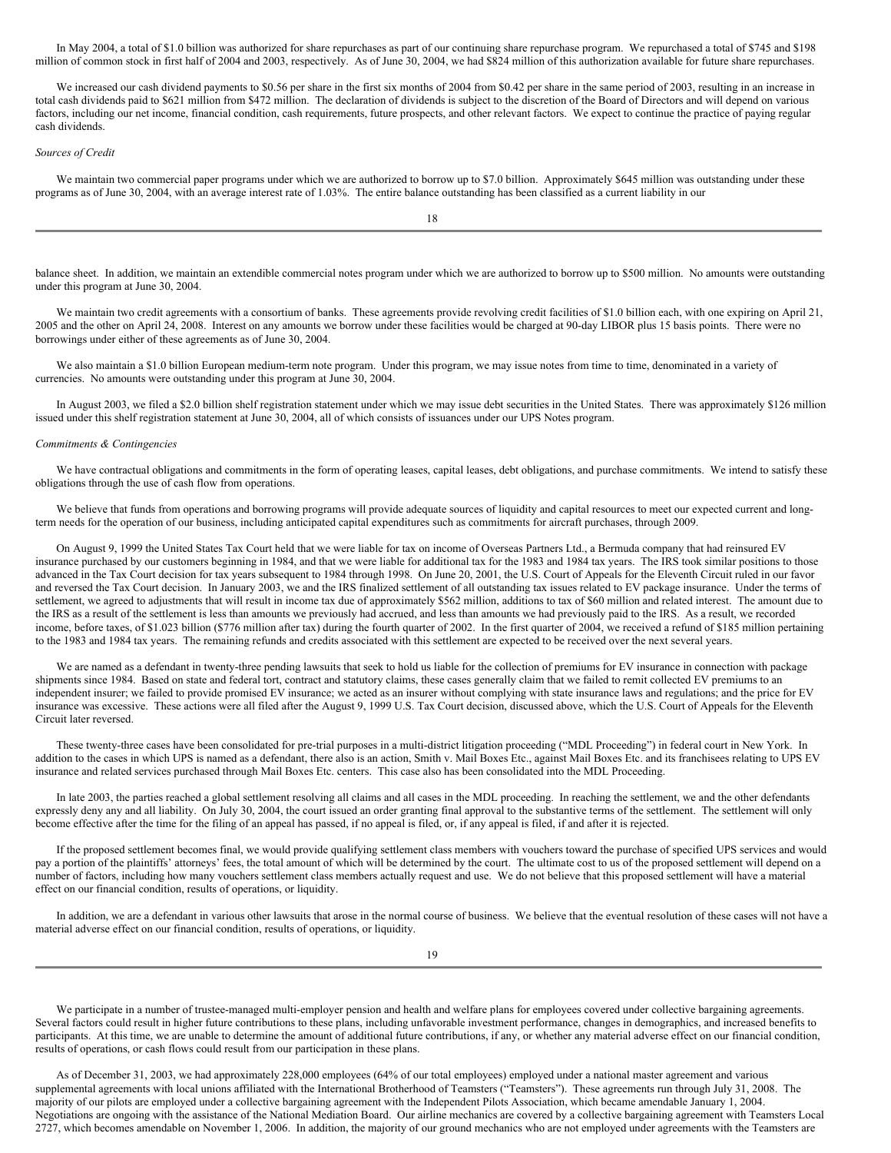In May 2004, a total of \$1.0 billion was authorized for share repurchases as part of our continuing share repurchase program. We repurchased a total of \$745 and \$198 million of common stock in first half of 2004 and 2003, respectively. As of June 30, 2004, we had \$824 million of this authorization available for future share repurchases.

We increased our cash dividend payments to \$0.56 per share in the first six months of 2004 from \$0.42 per share in the same period of 2003, resulting in an increase in total cash dividends paid to \$621 million from \$472 million. The declaration of dividends is subject to the discretion of the Board of Directors and will depend on various factors, including our net income, financial condition, cash requirements, future prospects, and other relevant factors. We expect to continue the practice of paying regular cash dividends.

### *Sources of Credit*

We maintain two commercial paper programs under which we are authorized to borrow up to \$7.0 billion. Approximately \$645 million was outstanding under these programs as of June 30, 2004, with an average interest rate of 1.03%. The entire balance outstanding has been classified as a current liability in our

18

balance sheet. In addition, we maintain an extendible commercial notes program under which we are authorized to borrow up to \$500 million. No amounts were outstanding under this program at June 30, 2004.

We maintain two credit agreements with a consortium of banks. These agreements provide revolving credit facilities of \$1.0 billion each, with one expiring on April 21, 2005 and the other on April 24, 2008. Interest on any amounts we borrow under these facilities would be charged at 90-day LIBOR plus 15 basis points. There were no borrowings under either of these agreements as of June 30, 2004.

We also maintain a \$1.0 billion European medium-term note program. Under this program, we may issue notes from time to time, denominated in a variety of currencies. No amounts were outstanding under this program at June 30, 2004.

In August 2003, we filed a \$2.0 billion shelf registration statement under which we may issue debt securities in the United States. There was approximately \$126 million issued under this shelf registration statement at June 30, 2004, all of which consists of issuances under our UPS Notes program.

#### *Commitments & Contingencies*

We have contractual obligations and commitments in the form of operating leases, capital leases, debt obligations, and purchase commitments. We intend to satisfy these obligations through the use of cash flow from operations.

We believe that funds from operations and borrowing programs will provide adequate sources of liquidity and capital resources to meet our expected current and longterm needs for the operation of our business, including anticipated capital expenditures such as commitments for aircraft purchases, through 2009.

On August 9, 1999 the United States Tax Court held that we were liable for tax on income of Overseas Partners Ltd., a Bermuda company that had reinsured EV insurance purchased by our customers beginning in 1984, and that we were liable for additional tax for the 1983 and 1984 tax years. The IRS took similar positions to those advanced in the Tax Court decision for tax years subsequent to 1984 through 1998. On June 20, 2001, the U.S. Court of Appeals for the Eleventh Circuit ruled in our favor and reversed the Tax Court decision. In January 2003, we and the IRS finalized settlement of all outstanding tax issues related to EV package insurance. Under the terms of settlement, we agreed to adjustments that will result in income tax due of approximately \$562 million, additions to tax of \$60 million and related interest. The amount due to the IRS as a result of the settlement is less than amounts we previously had accrued, and less than amounts we had previously paid to the IRS. As a result, we recorded income, before taxes, of \$1.023 billion (\$776 million after tax) during the fourth quarter of 2002. In the first quarter of 2004, we received a refund of \$185 million pertaining to the 1983 and 1984 tax years. The remaining refunds and credits associated with this settlement are expected to be received over the next several years.

We are named as a defendant in twenty-three pending lawsuits that seek to hold us liable for the collection of premiums for EV insurance in connection with package shipments since 1984. Based on state and federal tort, contract and statutory claims, these cases generally claim that we failed to remit collected EV premiums to an independent insurer; we failed to provide promised EV insurance; we acted as an insurer without complying with state insurance laws and regulations; and the price for EV insurance was excessive. These actions were all filed after the August 9, 1999 U.S. Tax Court decision, discussed above, which the U.S. Court of Appeals for the Eleventh Circuit later reversed.

These twenty-three cases have been consolidated for pre-trial purposes in a multi-district litigation proceeding ("MDL Proceeding") in federal court in New York. In addition to the cases in which UPS is named as a defendant, there also is an action, Smith v. Mail Boxes Etc., against Mail Boxes Etc. and its franchisees relating to UPS EV insurance and related services purchased through Mail Boxes Etc. centers. This case also has been consolidated into the MDL Proceeding.

In late 2003, the parties reached a global settlement resolving all claims and all cases in the MDL proceeding. In reaching the settlement, we and the other defendants expressly deny any and all liability. On July 30, 2004, the court issued an order granting final approval to the substantive terms of the settlement. The settlement will only become effective after the time for the filing of an appeal has passed, if no appeal is filed, or, if any appeal is filed, if and after it is rejected.

If the proposed settlement becomes final, we would provide qualifying settlement class members with vouchers toward the purchase of specified UPS services and would pay a portion of the plaintiffs' attorneys' fees, the total amount of which will be determined by the court. The ultimate cost to us of the proposed settlement will depend on a number of factors, including how many vouchers settlement class members actually request and use. We do not believe that this proposed settlement will have a material effect on our financial condition, results of operations, or liquidity.

In addition, we are a defendant in various other lawsuits that arose in the normal course of business. We believe that the eventual resolution of these cases will not have a material adverse effect on our financial condition, results of operations, or liquidity.

We participate in a number of trustee-managed multi-employer pension and health and welfare plans for employees covered under collective bargaining agreements. Several factors could result in higher future contributions to these plans, including unfavorable investment performance, changes in demographics, and increased benefits to participants. At this time, we are unable to determine the amount of additional future contributions, if any, or whether any material adverse effect on our financial condition, results of operations, or cash flows could result from our participation in these plans.

As of December 31, 2003, we had approximately 228,000 employees (64% of our total employees) employed under a national master agreement and various supplemental agreements with local unions affiliated with the International Brotherhood of Teamsters ("Teamsters"). These agreements run through July 31, 2008. The majority of our pilots are employed under a collective bargaining agreement with the Independent Pilots Association, which became amendable January 1, 2004. Negotiations are ongoing with the assistance of the National Mediation Board. Our airline mechanics are covered by a collective bargaining agreement with Teamsters Local 2727, which becomes amendable on November 1, 2006. In addition, the majority of our ground mechanics who are not employed under agreements with the Teamsters are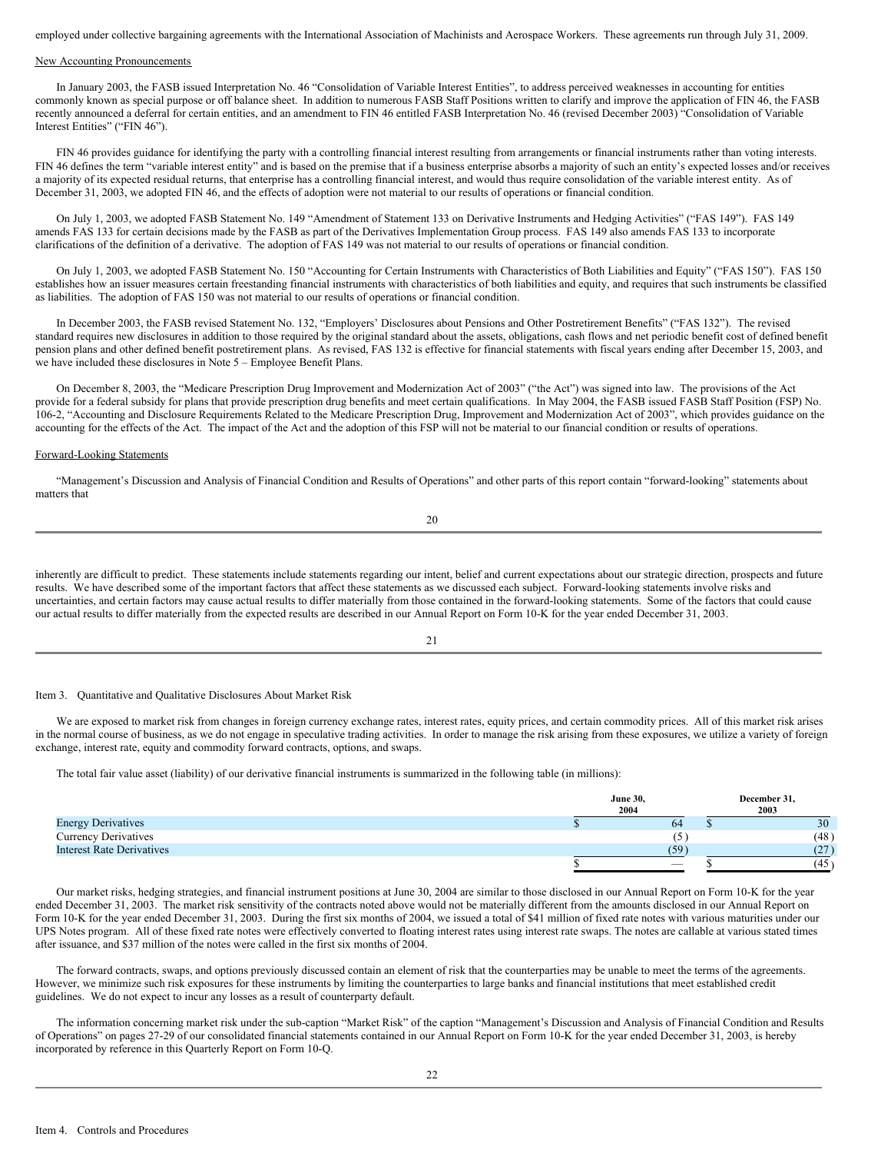employed under collective bargaining agreements with the International Association of Machinists and Aerospace Workers. These agreements run through July 31, 2009.

### New Accounting Pronouncements

In January 2003, the FASB issued Interpretation No. 46 "Consolidation of Variable Interest Entities", to address perceived weaknesses in accounting for entities commonly known as special purpose or off balance sheet. In addition to numerous FASB Staff Positions written to clarify and improve the application of FIN 46, the FASB recently announced a deferral for certain entities, and an amendment to FIN 46 entitled FASB Interpretation No. 46 (revised December 2003) "Consolidation of Variable Interest Entities" ("FIN 46").

FIN 46 provides guidance for identifying the party with a controlling financial interest resulting from arrangements or financial instruments rather than voting interests. FIN 46 defines the term "variable interest entity" and is based on the premise that if a business enterprise absorbs a majority of such an entity's expected losses and/or receives a majority of its expected residual returns, that enterprise has a controlling financial interest, and would thus require consolidation of the variable interest entity. As of December 31, 2003, we adopted FIN 46, and the effects of adoption were not material to our results of operations or financial condition.

On July 1, 2003, we adopted FASB Statement No. 149 "Amendment of Statement 133 on Derivative Instruments and Hedging Activities" ("FAS 149"). FAS 149 amends FAS 133 for certain decisions made by the FASB as part of the Derivatives Implementation Group process. FAS 149 also amends FAS 133 to incorporate clarifications of the definition of a derivative. The adoption of FAS 149 was not material to our results of operations or financial condition.

On July 1, 2003, we adopted FASB Statement No. 150 "Accounting for Certain Instruments with Characteristics of Both Liabilities and Equity" ("FAS 150"). FAS 150 establishes how an issuer measures certain freestanding financial instruments with characteristics of both liabilities and equity, and requires that such instruments be classified as liabilities. The adoption of FAS 150 was not material to our results of operations or financial condition.

In December 2003, the FASB revised Statement No. 132, "Employers' Disclosures about Pensions and Other Postretirement Benefits" ("FAS 132"). The revised standard requires new disclosures in addition to those required by the original standard about the assets, obligations, cash flows and net periodic benefit cost of defined benefit pension plans and other defined benefit postretirement plans. As revised, FAS 132 is effective for financial statements with fiscal years ending after December 15, 2003, and we have included these disclosures in Note 5 – Employee Benefit Plans.

On December 8, 2003, the "Medicare Prescription Drug Improvement and Modernization Act of 2003" ("the Act") was signed into law. The provisions of the Act provide for a federal subsidy for plans that provide prescription drug benefits and meet certain qualifications. In May 2004, the FASB issued FASB Staff Position (FSP) No. 106-2, "Accounting and Disclosure Requirements Related to the Medicare Prescription Drug, Improvement and Modernization Act of 2003", which provides guidance on the accounting for the effects of the Act. The impact of the Act and the adoption of this FSP will not be material to our financial condition or results of operations.

### Forward-Looking Statements

"Management's Discussion and Analysis of Financial Condition and Results of Operations" and other parts of this report contain "forward-looking" statements about matters that

20

inherently are difficult to predict. These statements include statements regarding our intent, belief and current expectations about our strategic direction, prospects and future results. We have described some of the important factors that affect these statements as we discussed each subject. Forward-looking statements involve risks and uncertainties, and certain factors may cause actual results to differ materially from those contained in the forward-looking statements. Some of the factors that could cause our actual results to differ materially from the expected results are described in our Annual Report on Form 10-K for the year ended December 31, 2003.

21

# Item 3. Quantitative and Qualitative Disclosures About Market Risk

We are exposed to market risk from changes in foreign currency exchange rates, interest rates, equity prices, and certain commodity prices. All of this market risk arises in the normal course of business, as we do not engage in speculative trading activities. In order to manage the risk arising from these exposures, we utilize a variety of foreign exchange, interest rate, equity and commodity forward contracts, options, and swaps.

The total fair value asset (liability) of our derivative financial instruments is summarized in the following table (in millions):

|                                  | <b>June 30,</b><br>2004         | December 31,<br>2003 |
|----------------------------------|---------------------------------|----------------------|
| <b>Energy Derivatives</b>        | 64                              | 30                   |
| Currency Derivatives             | (5                              | (48)                 |
| <b>Interest Rate Derivatives</b> | (59)                            | (27)                 |
|                                  | $\hspace{0.1mm}-\hspace{0.1mm}$ | (45)                 |

Our market risks, hedging strategies, and financial instrument positions at June 30, 2004 are similar to those disclosed in our Annual Report on Form 10-K for the year ended December 31, 2003. The market risk sensitivity of the contracts noted above would not be materially different from the amounts disclosed in our Annual Report on Form 10-K for the year ended December 31, 2003. During the first six months of 2004, we issued a total of \$41 million of fixed rate notes with various maturities under our UPS Notes program. All of these fixed rate notes were effectively converted to floating interest rates using interest rate swaps. The notes are callable at various stated times after issuance, and \$37 million of the notes were called in the first six months of 2004.

The forward contracts, swaps, and options previously discussed contain an element of risk that the counterparties may be unable to meet the terms of the agreements. However, we minimize such risk exposures for these instruments by limiting the counterparties to large banks and financial institutions that meet established credit guidelines. We do not expect to incur any losses as a result of counterparty default.

The information concerning market risk under the sub-caption "Market Risk" of the caption "Management's Discussion and Analysis of Financial Condition and Results of Operations" on pages 27-29 of our consolidated financial statements contained in our Annual Report on Form 10-K for the year ended December 31, 2003, is hereby incorporated by reference in this Quarterly Report on Form 10-Q.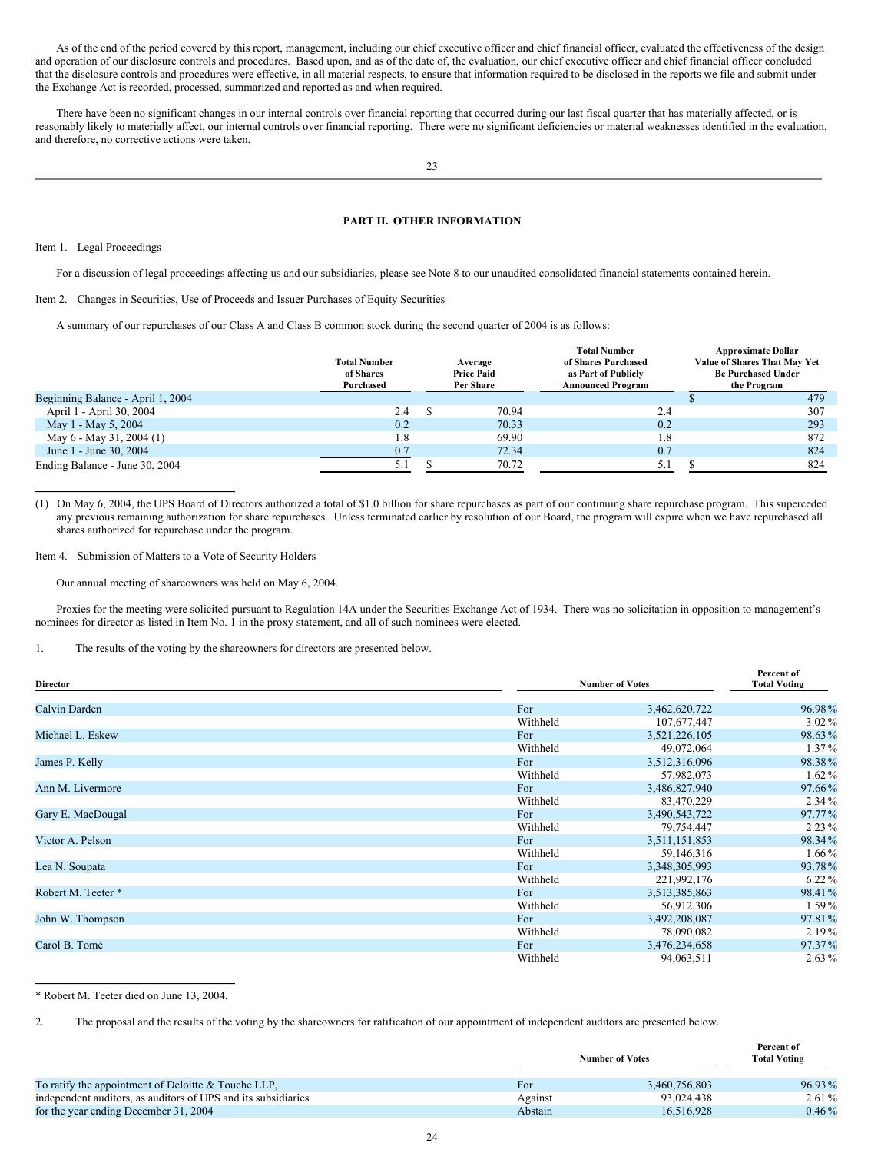As of the end of the period covered by this report, management, including our chief executive officer and chief financial officer, evaluated the effectiveness of the design and operation of our disclosure controls and procedures. Based upon, and as of the date of, the evaluation, our chief executive officer and chief financial officer concluded that the disclosure controls and procedures were effective, in all material respects, to ensure that information required to be disclosed in the reports we file and submit under the Exchange Act is recorded, processed, summarized and reported as and when required.

There have been no significant changes in our internal controls over financial reporting that occurred during our last fiscal quarter that has materially affected, or is reasonably likely to materially affect, our internal controls over financial reporting. There were no significant deficiencies or material weaknesses identified in the evaluation, and therefore, no corrective actions were taken.

# **PART II. OTHER INFORMATION**

### Item 1. Legal Proceedings

For a discussion of legal proceedings affecting us and our subsidiaries, please see Note 8 to our unaudited consolidated financial statements contained herein.

Item 2. Changes in Securities, Use of Proceeds and Issuer Purchases of Equity Securities

A summary of our repurchases of our Class A and Class B common stock during the second quarter of 2004 is as follows:

|                                   | <b>Total Number</b><br>of Shares<br>Purchased | Average<br><b>Price Paid</b><br>Per Share | <b>Total Number</b><br>of Shares Purchased<br>as Part of Publicly<br><b>Announced Program</b> | <b>Approximate Dollar</b><br>Value of Shares That May Yet<br><b>Be Purchased Under</b><br>the Program |
|-----------------------------------|-----------------------------------------------|-------------------------------------------|-----------------------------------------------------------------------------------------------|-------------------------------------------------------------------------------------------------------|
| Beginning Balance - April 1, 2004 |                                               |                                           |                                                                                               | 479                                                                                                   |
| April 1 - April 30, 2004          | 2.4                                           | 70.94                                     | 2.4                                                                                           | 307                                                                                                   |
| May 1 - May 5, 2004               | 0.2                                           | 70.33                                     | 0.2                                                                                           | 293                                                                                                   |
| May 6 - May 31, 2004 (1)          | 1.8                                           | 69.90                                     | 1.8                                                                                           | 872                                                                                                   |
| June 1 - June 30, 2004            | 0.7                                           | 72.34                                     | 0.7                                                                                           | 824                                                                                                   |
| Ending Balance - June 30, 2004    | 5.I                                           | 70.72                                     | 5.1                                                                                           | 824                                                                                                   |

(1) On May 6, 2004, the UPS Board of Directors authorized a total of \$1.0 billion for share repurchases as part of our continuing share repurchase program. This superceded any previous remaining authorization for share repurchases. Unless terminated earlier by resolution of our Board, the program will expire when we have repurchased all shares authorized for repurchase under the program.

Item 4. Submission of Matters to a Vote of Security Holders

Our annual meeting of shareowners was held on May 6, 2004.

Proxies for the meeting were solicited pursuant to Regulation 14A under the Securities Exchange Act of 1934. There was no solicitation in opposition to management's nominees for director as listed in Item No. 1 in the proxy statement, and all of such nominees were elected.

1. The results of the voting by the shareowners for directors are presented below.

| Director           |          | <b>Number of Votes</b> |          |  |
|--------------------|----------|------------------------|----------|--|
| Calvin Darden      | For      | 3,462,620,722          | 96.98%   |  |
|                    | Withheld | 107,677,447            | $3.02\%$ |  |
| Michael L. Eskew   | For      | 3,521,226,105          | 98.63%   |  |
|                    | Withheld | 49,072,064             | $1.37\%$ |  |
| James P. Kelly     | For      | 3,512,316,096          | 98.38%   |  |
|                    | Withheld | 57,982,073             | $1.62\%$ |  |
| Ann M. Livermore   | For      | 3,486,827,940          | 97.66%   |  |
|                    | Withheld | 83,470,229             | $2.34\%$ |  |
| Gary E. MacDougal  | For      | 3,490,543,722          | 97.77%   |  |
|                    | Withheld | 79,754,447             | $2.23\%$ |  |
| Victor A. Pelson   | For      | 3,511,151,853          | 98.34%   |  |
|                    | Withheld | 59,146,316             | $1.66\%$ |  |
| Lea N. Soupata     | For      | 3,348,305,993          | 93.78%   |  |
|                    | Withheld | 221,992,176            | $6.22\%$ |  |
| Robert M. Teeter * | For      | 3,513,385,863          | 98.41%   |  |
|                    | Withheld | 56,912,306             | 1.59%    |  |
| John W. Thompson   | For      | 3,492,208,087          | 97.81%   |  |
|                    | Withheld | 78,090,082             | $2.19\%$ |  |
| Carol B. Tomé      | For      | 3,476,234,658          | 97.37%   |  |
|                    | Withheld | 94,063,511             | $2.63\%$ |  |

\* Robert M. Teeter died on June 13, 2004.

2. The proposal and the results of the voting by the shareowners for ratification of our appointment of independent auditors are presented below.

|                                                               |         |                        | Percent of |
|---------------------------------------------------------------|---------|------------------------|------------|
|                                                               |         | <b>Number of Votes</b> |            |
|                                                               |         |                        |            |
| To ratify the appointment of Deloitte & Touche LLP,           | For     | 3.460,756,803          | $96.93\%$  |
| independent auditors, as auditors of UPS and its subsidiaries | Against | 93.024.438             | $2.61\%$   |
| for the year ending December 31, 2004                         | Abstain | 16.516.928             | $0.46\%$   |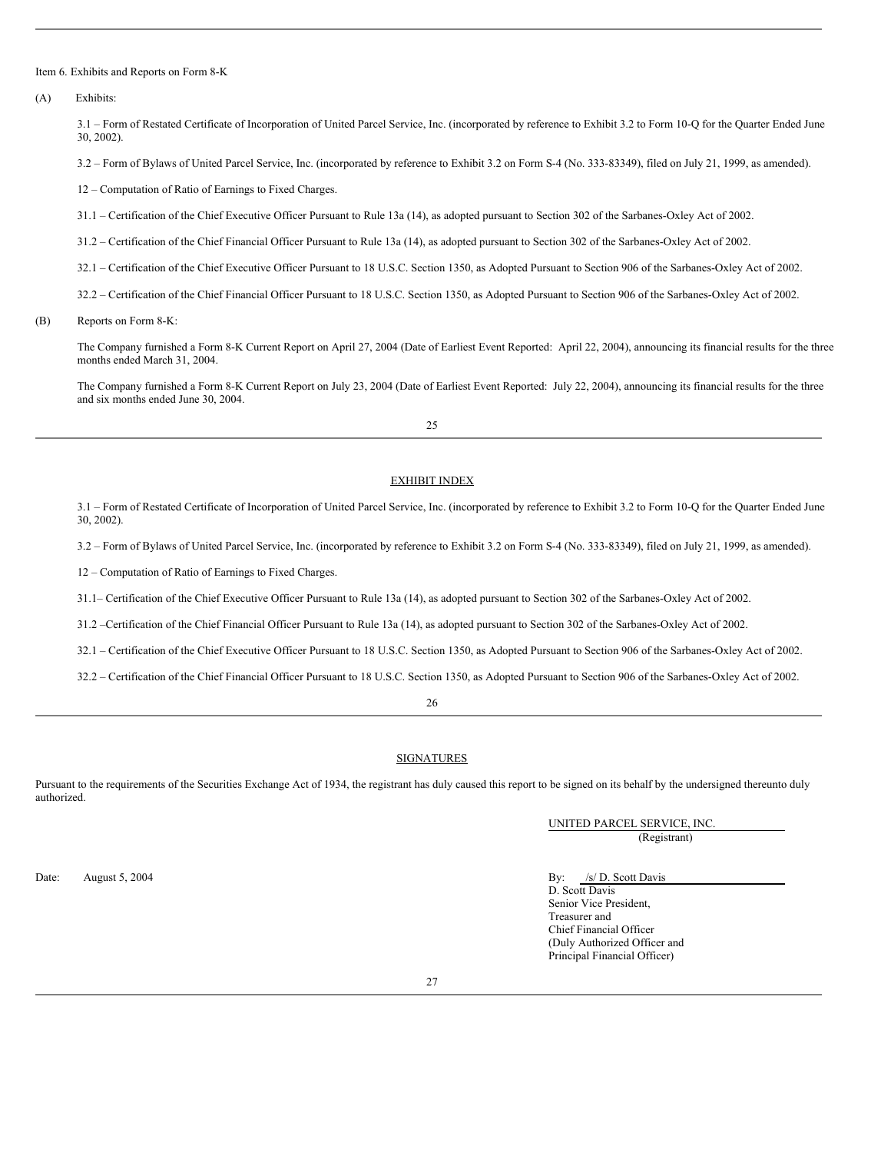Item 6. Exhibits and Reports on Form 8-K

(A) Exhibits:

3.1 – Form of Restated Certificate of Incorporation of United Parcel Service, Inc. (incorporated by reference to Exhibit 3.2 to Form 10-Q for the Quarter Ended June 30, 2002).

3.2 – Form of Bylaws of United Parcel Service, Inc. (incorporated by reference to Exhibit 3.2 on Form S-4 (No. 333-83349), filed on July 21, 1999, as amended).

12 – Computation of Ratio of Earnings to Fixed Charges.

- 31.1 Certification of the Chief Executive Officer Pursuant to Rule 13a (14), as adopted pursuant to Section 302 of the Sarbanes-Oxley Act of 2002.
- 31.2 Certification of the Chief Financial Officer Pursuant to Rule 13a (14), as adopted pursuant to Section 302 of the Sarbanes-Oxley Act of 2002.

32.1 – Certification of the Chief Executive Officer Pursuant to 18 U.S.C. Section 1350, as Adopted Pursuant to Section 906 of the Sarbanes-Oxley Act of 2002.

32.2 – Certification of the Chief Financial Officer Pursuant to 18 U.S.C. Section 1350, as Adopted Pursuant to Section 906 of the Sarbanes-Oxley Act of 2002.

(B) Reports on Form 8-K:

The Company furnished a Form 8-K Current Report on April 27, 2004 (Date of Earliest Event Reported: April 22, 2004), announcing its financial results for the three months ended March 31, 2004.

The Company furnished a Form 8-K Current Report on July 23, 2004 (Date of Earliest Event Reported: July 22, 2004), announcing its financial results for the three and six months ended June 30, 2004.

### 25

# EXHIBIT INDEX

3.1 – Form of Restated Certificate of Incorporation of United Parcel Service, Inc. (incorporated by reference to Exhibit 3.2 to Form 10-Q for the Quarter Ended June 30, 2002).

3.2 – Form of Bylaws of United Parcel Service, Inc. (incorporated by reference to Exhibit 3.2 on Form S-4 (No. 333-83349), filed on July 21, 1999, as amended).

12 – Computation of Ratio of Earnings to Fixed Charges.

31.1– Certification of the Chief Executive Officer Pursuant to Rule 13a (14), as adopted pursuant to Section 302 of the Sarbanes-Oxley Act of 2002.

31.2 –Certification of the Chief Financial Officer Pursuant to Rule 13a (14), as adopted pursuant to Section 302 of the Sarbanes-Oxley Act of 2002.

32.1 – Certification of the Chief Executive Officer Pursuant to 18 U.S.C. Section 1350, as Adopted Pursuant to Section 906 of the Sarbanes-Oxley Act of 2002.

32.2 – Certification of the Chief Financial Officer Pursuant to 18 U.S.C. Section 1350, as Adopted Pursuant to Section 906 of the Sarbanes-Oxley Act of 2002.

26

# **SIGNATURES**

Pursuant to the requirements of the Securities Exchange Act of 1934, the registrant has duly caused this report to be signed on its behalf by the undersigned thereunto duly authorized.

> UNITED PARCEL SERVICE, INC. (Registrant)

Date: August 5, 2004 By: /s/ D. Scott Davis

D. Scott Davis Senior Vice President, Treasurer and Chief Financial Officer (Duly Authorized Officer and Principal Financial Officer)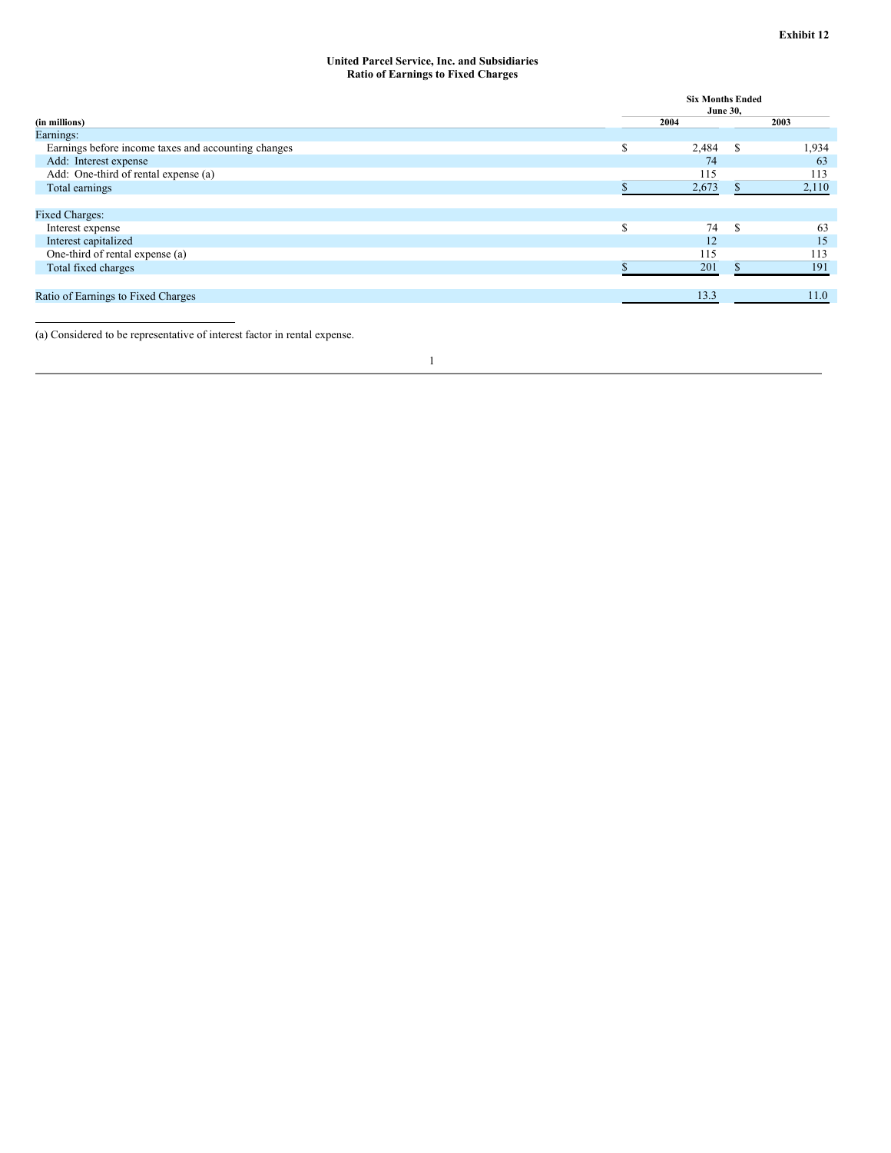### **United Parcel Service, Inc. and Subsidiaries Ratio of Earnings to Fixed Charges**

|                                                     |            | <b>Six Months Ended</b> |       |  |  |
|-----------------------------------------------------|------------|-------------------------|-------|--|--|
|                                                     |            | <b>June 30,</b>         |       |  |  |
| (in millions)                                       | 2004       |                         | 2003  |  |  |
| Earnings:                                           |            |                         |       |  |  |
| Earnings before income taxes and accounting changes | 2,484<br>ъ | -S                      | 1,934 |  |  |
| Add: Interest expense                               |            | 74                      | 63    |  |  |
| Add: One-third of rental expense (a)                | 115        |                         | 113   |  |  |
| Total earnings                                      | 2,673      |                         | 2,110 |  |  |
|                                                     |            |                         |       |  |  |
| <b>Fixed Charges:</b>                               |            |                         |       |  |  |
| Interest expense                                    | .Ъ         | 74<br>-S                | 63    |  |  |
| Interest capitalized                                |            | 12                      | 15    |  |  |
| One-third of rental expense (a)                     | 115        |                         | 113   |  |  |
| Total fixed charges                                 | 201        |                         | 191   |  |  |
|                                                     |            |                         |       |  |  |
| Ratio of Earnings to Fixed Charges                  | 13.3       |                         | 11.0  |  |  |
|                                                     |            |                         |       |  |  |

(a) Considered to be representative of interest factor in rental expense.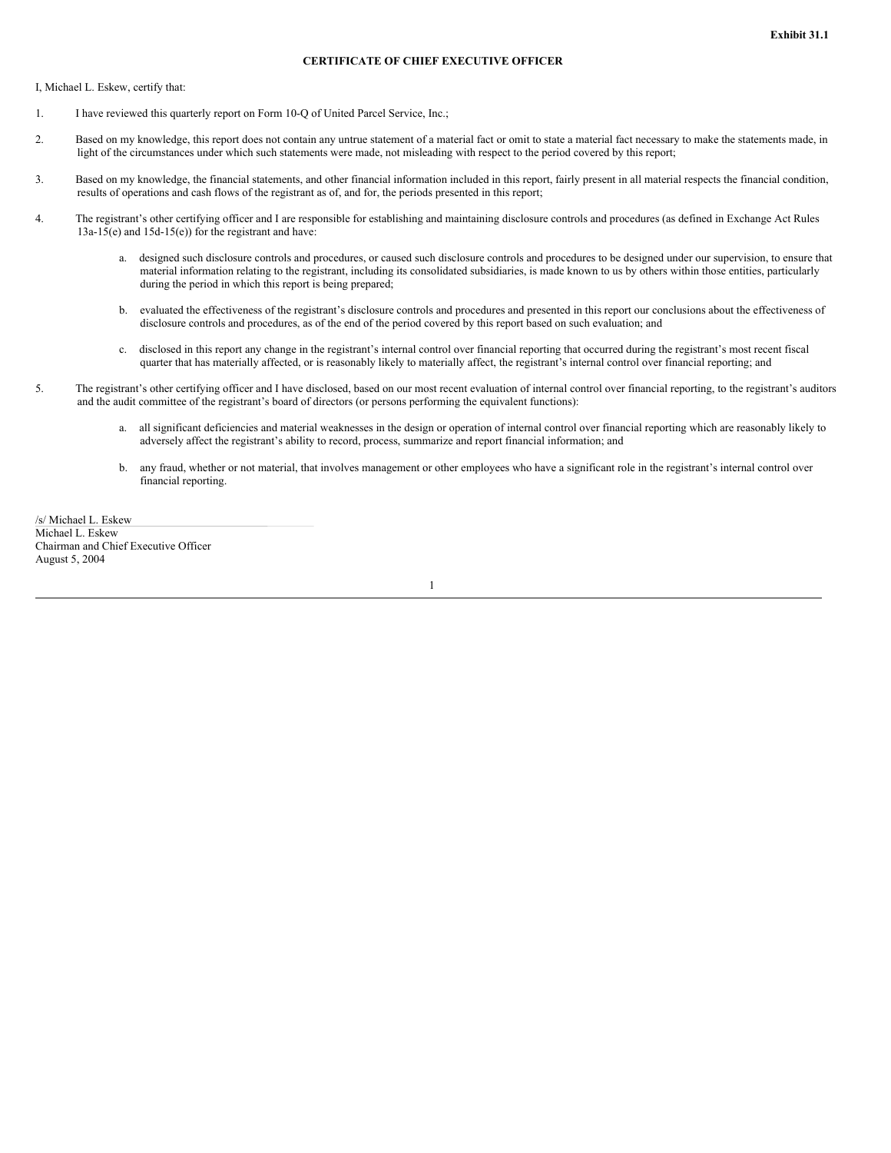# **CERTIFICATE OF CHIEF EXECUTIVE OFFICER**

I, Michael L. Eskew, certify that:

- 1. I have reviewed this quarterly report on Form 10-Q of United Parcel Service, Inc.;
- 2. Based on my knowledge, this report does not contain any untrue statement of a material fact or omit to state a material fact necessary to make the statements made, in light of the circumstances under which such statements were made, not misleading with respect to the period covered by this report;
- 3. Based on my knowledge, the financial statements, and other financial information included in this report, fairly present in all material respects the financial condition, results of operations and cash flows of the registrant as of, and for, the periods presented in this report;
- 4. The registrant's other certifying officer and I are responsible for establishing and maintaining disclosure controls and procedures (as defined in Exchange Act Rules 13a-15(e) and 15d-15(e)) for the registrant and have:
	- a. designed such disclosure controls and procedures, or caused such disclosure controls and procedures to be designed under our supervision, to ensure that material information relating to the registrant, including its consolidated subsidiaries, is made known to us by others within those entities, particularly during the period in which this report is being prepared;
	- b. evaluated the effectiveness of the registrant's disclosure controls and procedures and presented in this report our conclusions about the effectiveness of disclosure controls and procedures, as of the end of the period covered by this report based on such evaluation; and
	- c. disclosed in this report any change in the registrant's internal control over financial reporting that occurred during the registrant's most recent fiscal quarter that has materially affected, or is reasonably likely to materially affect, the registrant's internal control over financial reporting; and
- 5. The registrant's other certifying officer and I have disclosed, based on our most recent evaluation of internal control over financial reporting, to the registrant's auditors and the audit committee of the registrant's board of directors (or persons performing the equivalent functions):
	- a. all significant deficiencies and material weaknesses in the design or operation of internal control over financial reporting which are reasonably likely to adversely affect the registrant's ability to record, process, summarize and report financial information; and
	- b. any fraud, whether or not material, that involves management or other employees who have a significant role in the registrant's internal control over financial reporting.

/s/ Michael L. Eskew Michael L. Eskew Chairman and Chief Executive Officer August 5, 2004

1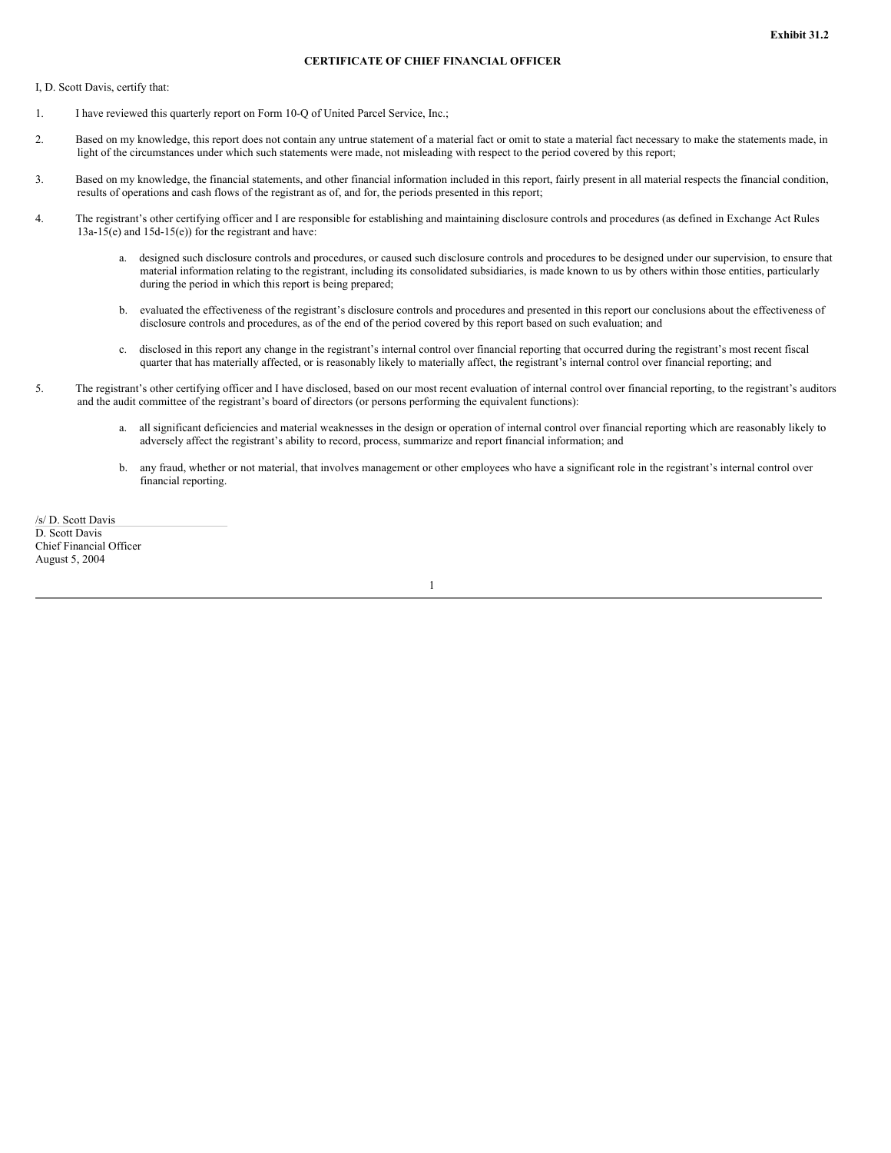# **CERTIFICATE OF CHIEF FINANCIAL OFFICER**

I, D. Scott Davis, certify that:

- 1. I have reviewed this quarterly report on Form 10-Q of United Parcel Service, Inc.;
- 2. Based on my knowledge, this report does not contain any untrue statement of a material fact or omit to state a material fact necessary to make the statements made, in light of the circumstances under which such statements were made, not misleading with respect to the period covered by this report;
- 3. Based on my knowledge, the financial statements, and other financial information included in this report, fairly present in all material respects the financial condition, results of operations and cash flows of the registrant as of, and for, the periods presented in this report;
- 4. The registrant's other certifying officer and I are responsible for establishing and maintaining disclosure controls and procedures (as defined in Exchange Act Rules 13a-15(e) and 15d-15(e)) for the registrant and have:
	- a. designed such disclosure controls and procedures, or caused such disclosure controls and procedures to be designed under our supervision, to ensure that material information relating to the registrant, including its consolidated subsidiaries, is made known to us by others within those entities, particularly during the period in which this report is being prepared;
	- b. evaluated the effectiveness of the registrant's disclosure controls and procedures and presented in this report our conclusions about the effectiveness of disclosure controls and procedures, as of the end of the period covered by this report based on such evaluation; and
	- c. disclosed in this report any change in the registrant's internal control over financial reporting that occurred during the registrant's most recent fiscal quarter that has materially affected, or is reasonably likely to materially affect, the registrant's internal control over financial reporting; and
- 5. The registrant's other certifying officer and I have disclosed, based on our most recent evaluation of internal control over financial reporting, to the registrant's auditors and the audit committee of the registrant's board of directors (or persons performing the equivalent functions):
	- a. all significant deficiencies and material weaknesses in the design or operation of internal control over financial reporting which are reasonably likely to adversely affect the registrant's ability to record, process, summarize and report financial information; and
	- b. any fraud, whether or not material, that involves management or other employees who have a significant role in the registrant's internal control over financial reporting.

/s/ D. Scott Davis D. Scott Davis Chief Financial Officer August 5, 2004

1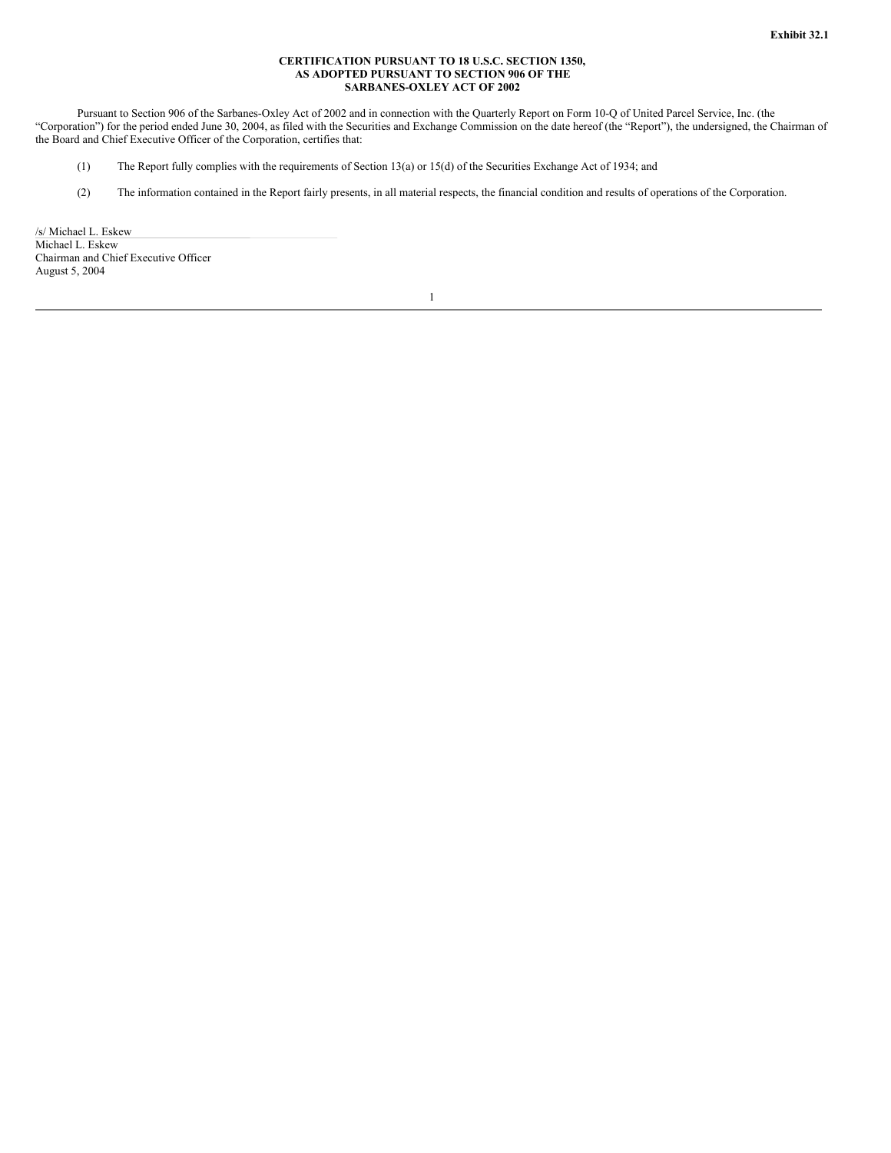### **CERTIFICATION PURSUANT TO 18 U.S.C. SECTION 1350, AS ADOPTED PURSUANT TO SECTION 906 OF THE SARBANES-OXLEY ACT OF 2002**

Pursuant to Section 906 of the Sarbanes-Oxley Act of 2002 and in connection with the Quarterly Report on Form 10-Q of United Parcel Service, Inc. (the "Corporation") for the period ended June 30, 2004, as filed with the Securities and Exchange Commission on the date hereof (the "Report"), the undersigned, the Chairman of the Board and Chief Executive Officer of the Corporation, certifies that:

- (1) The Report fully complies with the requirements of Section 13(a) or 15(d) of the Securities Exchange Act of 1934; and
- (2) The information contained in the Report fairly presents, in all material respects, the financial condition and results of operations of the Corporation.

/s/ Michael L. Eskew Michael L. Eskew Chairman and Chief Executive Officer August 5, 2004